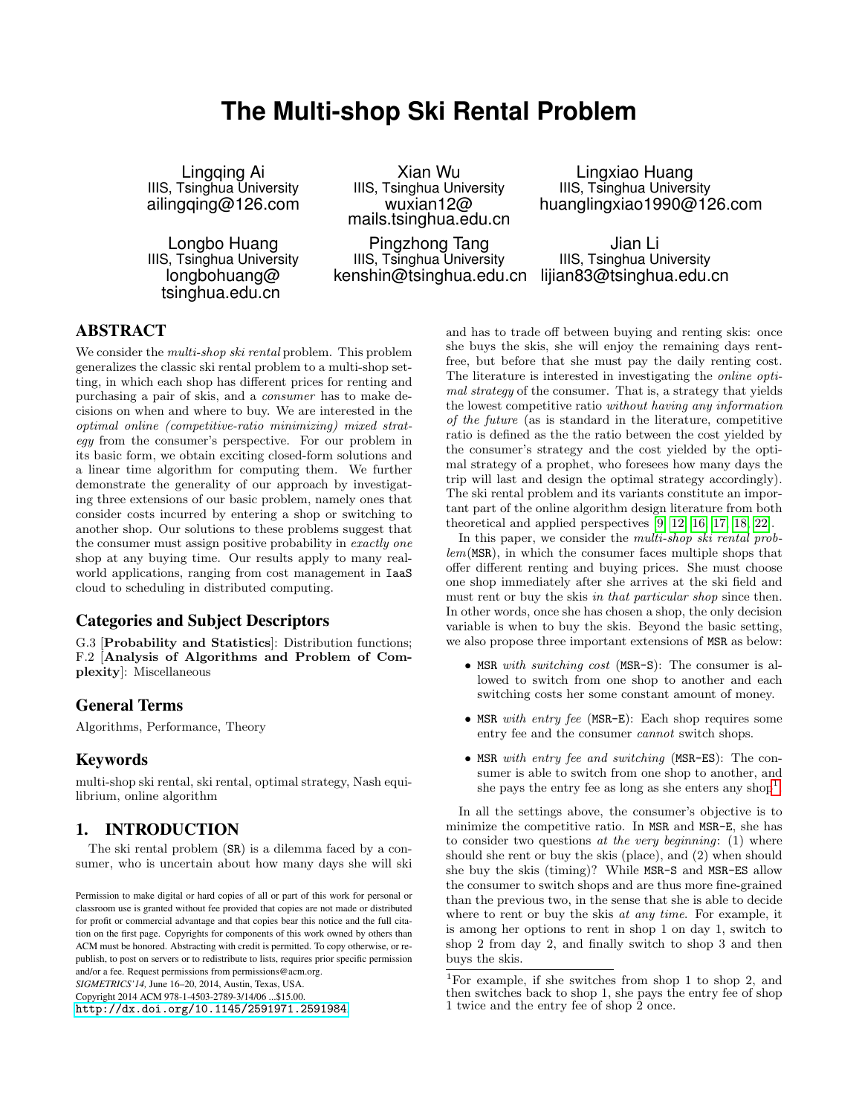# **The Multi-shop Ski Rental Problem**

Lingqing Ai IIIS, Tsinghua University ailingqing@126.com

Longbo Huang IIIS, Tsinghua University longbohuang@ tsinghua.edu.cn

Xian Wu IIIS, Tsinghua University wuxian12@ mails.tsinghua.edu.cn

Pingzhong Tang IIIS, Tsinghua University kenshin@tsinghua.edu.cn

Lingxiao Huang IIIS, Tsinghua University huanglingxiao1990@126.com

Jian Li IIIS, Tsinghua University lijian83@tsinghua.edu.cn

# ABSTRACT

We consider the *multi-shop ski rental* problem. This problem generalizes the classic ski rental problem to a multi-shop setting, in which each shop has different prices for renting and purchasing a pair of skis, and a consumer has to make decisions on when and where to buy. We are interested in the optimal online (competitive-ratio minimizing) mixed strategy from the consumer's perspective. For our problem in its basic form, we obtain exciting closed-form solutions and a linear time algorithm for computing them. We further demonstrate the generality of our approach by investigating three extensions of our basic problem, namely ones that consider costs incurred by entering a shop or switching to another shop. Our solutions to these problems suggest that the consumer must assign positive probability in exactly one shop at any buying time. Our results apply to many realworld applications, ranging from cost management in IaaS cloud to scheduling in distributed computing.

# Categories and Subject Descriptors

G.3 [Probability and Statistics]: Distribution functions; F.2 [Analysis of Algorithms and Problem of Complexity]: Miscellaneous

### General Terms

Algorithms, Performance, Theory

# Keywords

multi-shop ski rental, ski rental, optimal strategy, Nash equilibrium, online algorithm

# 1. INTRODUCTION

The ski rental problem (SR) is a dilemma faced by a consumer, who is uncertain about how many days she will ski and has to trade off between buying and renting skis: once she buys the skis, she will enjoy the remaining days rentfree, but before that she must pay the daily renting cost. The literature is interested in investigating the online optimal strategy of the consumer. That is, a strategy that yields the lowest competitive ratio without having any information of the future (as is standard in the literature, competitive ratio is defined as the the ratio between the cost yielded by the consumer's strategy and the cost yielded by the optimal strategy of a prophet, who foresees how many days the trip will last and design the optimal strategy accordingly). The ski rental problem and its variants constitute an important part of the online algorithm design literature from both theoretical and applied perspectives [\[9,](#page-12-0) [12,](#page-12-1) [16,](#page-12-2) [17,](#page-12-3) [18,](#page-12-4) [22\]](#page-12-5).

In this paper, we consider the *multi-shop ski rental prob* $lem(MSR)$ , in which the consumer faces multiple shops that offer different renting and buying prices. She must choose one shop immediately after she arrives at the ski field and must rent or buy the skis in that particular shop since then. In other words, once she has chosen a shop, the only decision variable is when to buy the skis. Beyond the basic setting, we also propose three important extensions of MSR as below:

- MSR with switching cost (MSR-S): The consumer is allowed to switch from one shop to another and each switching costs her some constant amount of money.
- MSR with entry fee (MSR-E): Each shop requires some entry fee and the consumer cannot switch shops.
- MSR with entry fee and switching (MSR-ES): The consumer is able to switch from one shop to another, and she pays the entry fee as long as she enters any shop<sup>[1](#page-0-0)</sup>.

In all the settings above, the consumer's objective is to minimize the competitive ratio. In MSR and MSR-E, she has to consider two questions at the very beginning:  $(1)$  where should she rent or buy the skis (place), and (2) when should she buy the skis (timing)? While MSR-S and MSR-ES allow the consumer to switch shops and are thus more fine-grained than the previous two, in the sense that she is able to decide where to rent or buy the skis *at any time*. For example, it is among her options to rent in shop 1 on day 1, switch to shop 2 from day 2, and finally switch to shop 3 and then buys the skis.

Permission to make digital or hard copies of all or part of this work for personal or classroom use is granted without fee provided that copies are not made or distributed for profit or commercial advantage and that copies bear this notice and the full citation on the first page. Copyrights for components of this work owned by others than ACM must be honored. Abstracting with credit is permitted. To copy otherwise, or republish, to post on servers or to redistribute to lists, requires prior specific permission and/or a fee. Request permissions from permissions@acm.org.

*SIGMETRICS'14,* June 16–20, 2014, Austin, Texas, USA.

Copyright 2014 ACM 978-1-4503-2789-3/14/06 ...\$15.00.

<http://dx.doi.org/10.1145/2591971.2591984>.

<span id="page-0-0"></span><sup>1</sup>For example, if she switches from shop 1 to shop 2, and then switches back to shop 1, she pays the entry fee of shop 1 twice and the entry fee of shop 2 once.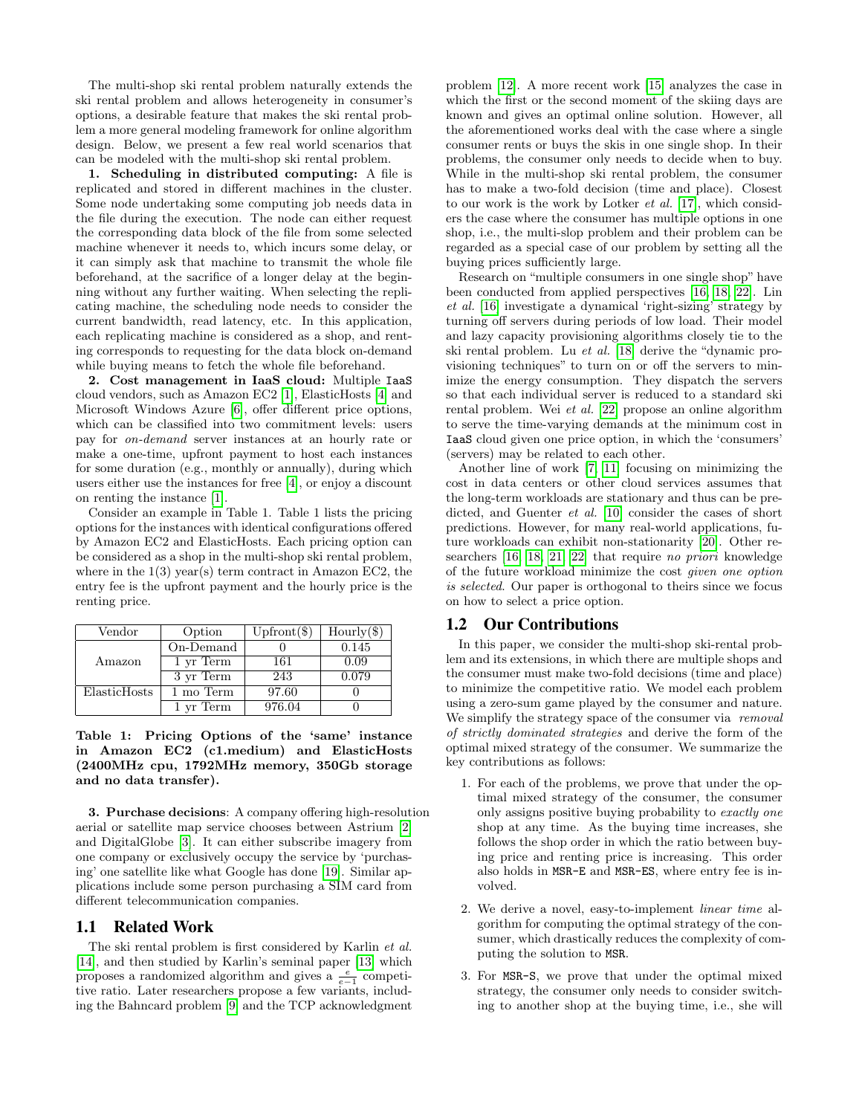The multi-shop ski rental problem naturally extends the ski rental problem and allows heterogeneity in consumer's options, a desirable feature that makes the ski rental problem a more general modeling framework for online algorithm design. Below, we present a few real world scenarios that can be modeled with the multi-shop ski rental problem.

1. Scheduling in distributed computing: A file is replicated and stored in different machines in the cluster. Some node undertaking some computing job needs data in the file during the execution. The node can either request the corresponding data block of the file from some selected machine whenever it needs to, which incurs some delay, or it can simply ask that machine to transmit the whole file beforehand, at the sacrifice of a longer delay at the beginning without any further waiting. When selecting the replicating machine, the scheduling node needs to consider the current bandwidth, read latency, etc. In this application, each replicating machine is considered as a shop, and renting corresponds to requesting for the data block on-demand while buying means to fetch the whole file beforehand.

2. Cost management in IaaS cloud: Multiple IaaS cloud vendors, such as Amazon EC2 [\[1\]](#page-12-6), ElasticHosts [\[4\]](#page-12-7) and Microsoft Windows Azure [\[6\]](#page-12-8), offer different price options, which can be classified into two commitment levels: users pay for on-demand server instances at an hourly rate or make a one-time, upfront payment to host each instances for some duration (e.g., monthly or annually), during which users either use the instances for free [\[4\]](#page-12-7), or enjoy a discount on renting the instance [\[1\]](#page-12-6).

Consider an example in Table 1. Table 1 lists the pricing options for the instances with identical configurations offered by Amazon EC2 and ElasticHosts. Each pricing option can be considered as a shop in the multi-shop ski rental problem, where in the  $1(3)$  year(s) term contract in Amazon EC2, the entry fee is the upfront payment and the hourly price is the renting price.

| Vendor       | Option    | $Upfront(\$\)$ | $Hourly(\text{\textsterling})$ |
|--------------|-----------|----------------|--------------------------------|
|              | On-Demand |                | 0.145                          |
| Amazon       | 1 yr Term | 161            | 0.09                           |
|              | 3 yr Term | 243            | 0.079                          |
| ElasticHosts | 1 mo Term | 97.60          |                                |
|              | 1 yr Term | 976.04         |                                |

Table 1: Pricing Options of the 'same' instance in Amazon EC2 (c1.medium) and ElasticHosts (2400MHz cpu, 1792MHz memory, 350Gb storage and no data transfer).

3. Purchase decisions: A company offering high-resolution aerial or satellite map service chooses between Astrium [\[2\]](#page-12-9) and DigitalGlobe [\[3\]](#page-12-10). It can either subscribe imagery from one company or exclusively occupy the service by 'purchasing' one satellite like what Google has done [\[19\]](#page-12-11). Similar applications include some person purchasing a SIM card from different telecommunication companies.

### 1.1 Related Work

The ski rental problem is first considered by Karlin et al. [\[14\]](#page-12-12), and then studied by Karlin's seminal paper [\[13\]](#page-12-13) which proposes a randomized algorithm and gives a  $\frac{e}{e-1}$  competitive ratio. Later researchers propose a few variants, including the Bahncard problem [\[9\]](#page-12-0) and the TCP acknowledgment

problem [\[12\]](#page-12-1). A more recent work [\[15\]](#page-12-14) analyzes the case in which the first or the second moment of the skiing days are known and gives an optimal online solution. However, all the aforementioned works deal with the case where a single consumer rents or buys the skis in one single shop. In their problems, the consumer only needs to decide when to buy. While in the multi-shop ski rental problem, the consumer has to make a two-fold decision (time and place). Closest to our work is the work by Lotker et al. [\[17\]](#page-12-3), which considers the case where the consumer has multiple options in one shop, i.e., the multi-slop problem and their problem can be regarded as a special case of our problem by setting all the buying prices sufficiently large.

Research on "multiple consumers in one single shop" have been conducted from applied perspectives [\[16,](#page-12-2) [18,](#page-12-4) [22\]](#page-12-5). Lin et al. [\[16\]](#page-12-2) investigate a dynamical 'right-sizing' strategy by turning off servers during periods of low load. Their model and lazy capacity provisioning algorithms closely tie to the ski rental problem. Lu et al. [\[18\]](#page-12-4) derive the "dynamic provisioning techniques" to turn on or off the servers to minimize the energy consumption. They dispatch the servers so that each individual server is reduced to a standard ski rental problem. Wei et al. [\[22\]](#page-12-5) propose an online algorithm to serve the time-varying demands at the minimum cost in IaaS cloud given one price option, in which the 'consumers' (servers) may be related to each other.

Another line of work [\[7,](#page-12-15) [11\]](#page-12-16) focusing on minimizing the cost in data centers or other cloud services assumes that the long-term workloads are stationary and thus can be predicted, and Guenter et al. [\[10\]](#page-12-17) consider the cases of short predictions. However, for many real-world applications, future workloads can exhibit non-stationarity [\[20\]](#page-12-18). Other researchers [\[16,](#page-12-2) [18,](#page-12-4) [21,](#page-12-19) [22\]](#page-12-5) that require no priori knowledge of the future workload minimize the cost given one option is selected. Our paper is orthogonal to theirs since we focus on how to select a price option.

### 1.2 Our Contributions

In this paper, we consider the multi-shop ski-rental problem and its extensions, in which there are multiple shops and the consumer must make two-fold decisions (time and place) to minimize the competitive ratio. We model each problem using a zero-sum game played by the consumer and nature. We simplify the strategy space of the consumer via removal of strictly dominated strategies and derive the form of the optimal mixed strategy of the consumer. We summarize the key contributions as follows:

- 1. For each of the problems, we prove that under the optimal mixed strategy of the consumer, the consumer only assigns positive buying probability to exactly one shop at any time. As the buying time increases, she follows the shop order in which the ratio between buying price and renting price is increasing. This order also holds in MSR-E and MSR-ES, where entry fee is involved.
- 2. We derive a novel, easy-to-implement linear time algorithm for computing the optimal strategy of the consumer, which drastically reduces the complexity of computing the solution to MSR.
- 3. For MSR-S, we prove that under the optimal mixed strategy, the consumer only needs to consider switching to another shop at the buying time, i.e., she will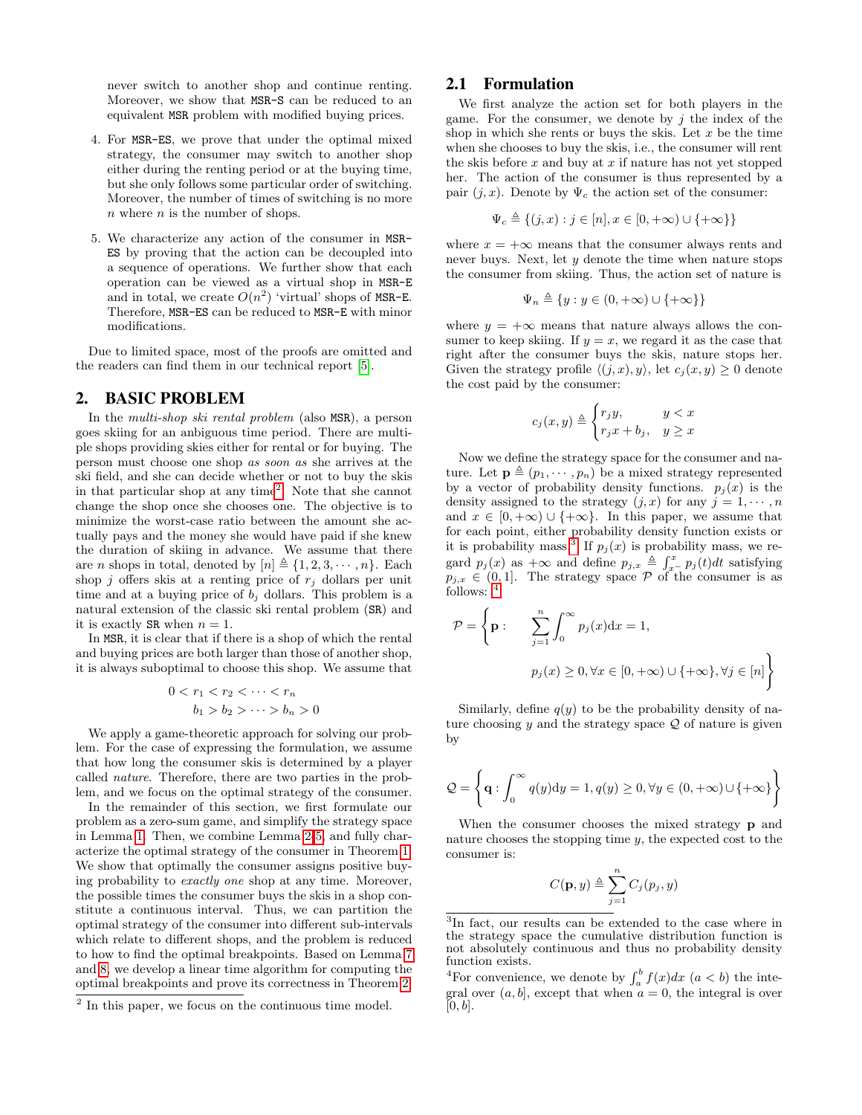never switch to another shop and continue renting. Moreover, we show that MSR-S can be reduced to an equivalent MSR problem with modified buying prices.

- 4. For MSR-ES, we prove that under the optimal mixed strategy, the consumer may switch to another shop either during the renting period or at the buying time, but she only follows some particular order of switching. Moreover, the number of times of switching is no more  $n$  where  $n$  is the number of shops.
- 5. We characterize any action of the consumer in MSR-ES by proving that the action can be decoupled into a sequence of operations. We further show that each operation can be viewed as a virtual shop in MSR-E and in total, we create  $O(n^2)$  'virtual' shops of MSR-E. Therefore, MSR-ES can be reduced to MSR-E with minor modifications.

Due to limited space, most of the proofs are omitted and the readers can find them in our technical report [\[5\]](#page-12-20).

# 2. BASIC PROBLEM

In the multi-shop ski rental problem (also MSR), a person goes skiing for an anbiguous time period. There are multiple shops providing skies either for rental or for buying. The person must choose one shop as soon as she arrives at the ski field, and she can decide whether or not to buy the skis in that particular shop at any time<sup>[2](#page-2-0)</sup>. Note that she cannot change the shop once she chooses one. The objective is to minimize the worst-case ratio between the amount she actually pays and the money she would have paid if she knew the duration of skiing in advance. We assume that there are *n* shops in total, denoted by  $[n] \triangleq \{1, 2, 3, \dots, n\}$ . Each shop *j* offers skis at a renting price of  $r_i$  dollars per unit time and at a buying price of  $b_i$  dollars. This problem is a natural extension of the classic ski rental problem (SR) and it is exactly SR when  $n = 1$ .

In MSR, it is clear that if there is a shop of which the rental and buying prices are both larger than those of another shop, it is always suboptimal to choose this shop. We assume that

$$
0 < r_1 < r_2 < \dots < r_n
$$
\n
$$
b_1 > b_2 > \dots > b_n > 0
$$

We apply a game-theoretic approach for solving our problem. For the case of expressing the formulation, we assume that how long the consumer skis is determined by a player called nature. Therefore, there are two parties in the problem, and we focus on the optimal strategy of the consumer.

In the remainder of this section, we first formulate our problem as a zero-sum game, and simplify the strategy space in Lemma [1.](#page-3-0) Then, we combine Lemma [2](#page-4-0)[-5,](#page-4-1) and fully characterize the optimal strategy of the consumer in Theorem [1.](#page-4-2) We show that optimally the consumer assigns positive buying probability to exactly one shop at any time. Moreover, the possible times the consumer buys the skis in a shop constitute a continuous interval. Thus, we can partition the optimal strategy of the consumer into different sub-intervals which relate to different shops, and the problem is reduced to how to find the optimal breakpoints. Based on Lemma [7](#page-5-0) and [8,](#page-5-1) we develop a linear time algorithm for computing the optimal breakpoints and prove its correctness in Theorem [2.](#page-6-0)

### 2.1 Formulation

We first analyze the action set for both players in the game. For the consumer, we denote by  $i$  the index of the shop in which she rents or buys the skis. Let  $x$  be the time when she chooses to buy the skis, i.e., the consumer will rent the skis before  $x$  and buy at  $x$  if nature has not yet stopped her. The action of the consumer is thus represented by a pair  $(j, x)$ . Denote by  $\Psi_c$  the action set of the consumer:

$$
\Psi_c \triangleq \{(j, x) : j \in [n], x \in [0, +\infty) \cup \{+\infty\}\}\
$$

where  $x = +\infty$  means that the consumer always rents and never buys. Next, let  $y$  denote the time when nature stops the consumer from skiing. Thus, the action set of nature is

$$
\Psi_n \triangleq \{ y : y \in (0, +\infty) \cup \{ +\infty \} \}
$$

where  $y = +\infty$  means that nature always allows the consumer to keep skiing. If  $y = x$ , we regard it as the case that right after the consumer buys the skis, nature stops her. Given the strategy profile  $\langle (j, x), y \rangle$ , let  $c_j (x, y) \geq 0$  denote the cost paid by the consumer:

$$
c_j(x, y) \triangleq \begin{cases} r_j y, & y < x \\ r_j x + b_j, & y \geq x \end{cases}
$$

Now we define the strategy space for the consumer and nature. Let  $\mathbf{p} \triangleq (p_1, \dots, p_n)$  be a mixed strategy represented by a vector of probability density functions.  $p_j(x)$  is the density assigned to the strategy  $(j, x)$  for any  $j = 1, \dots, n$ and  $x \in [0, +\infty) \cup \{+\infty\}$ . In this paper, we assume that for each point, either probability density function exists or it is probability mass.<sup>[3](#page-2-1)</sup> If  $p_j(x)$  is probability mass, we regard  $p_j(x)$  as  $+\infty$  and define  $p_{j,x} \triangleq \int_{x}^x p_j(t)dt$  satisfying  $p_{j,x} \in (0,1].$  The strategy space  $P$  of the consumer is as follows:  $4$ 

$$
\mathcal{P} = \left\{ \mathbf{p} : \sum_{j=1}^{n} \int_{0}^{\infty} p_{j}(x) dx = 1, \right\}
$$

$$
p_{j}(x) \ge 0, \forall x \in [0, +\infty) \cup \{ +\infty \}, \forall j \in [n] \right\}
$$

Similarly, define  $q(y)$  to be the probability density of nature choosing y and the strategy space  $\mathcal{Q}$  of nature is given by

$$
\mathcal{Q} = \left\{ \mathbf{q} : \int_0^\infty q(y) dy = 1, q(y) \ge 0, \forall y \in (0, +\infty) \cup \{ +\infty \} \right\}
$$

When the consumer chooses the mixed strategy **p** and nature chooses the stopping time y, the expected cost to the consumer is:

$$
C(\mathbf{p},y) \triangleq \sum_{j=1}^{n} C_j(p_j,y)
$$

<span id="page-2-0"></span><sup>&</sup>lt;sup>2</sup> In this paper, we focus on the continuous time model.

<span id="page-2-1"></span><sup>3</sup> In fact, our results can be extended to the case where in the strategy space the cumulative distribution function is not absolutely continuous and thus no probability density function exists.

<span id="page-2-2"></span><sup>&</sup>lt;sup>4</sup>For convenience, we denote by  $\int_a^b f(x)dx$   $(a < b)$  the integral over  $(a, b]$ , except that when  $a = 0$ , the integral is over  $[0, b]$ .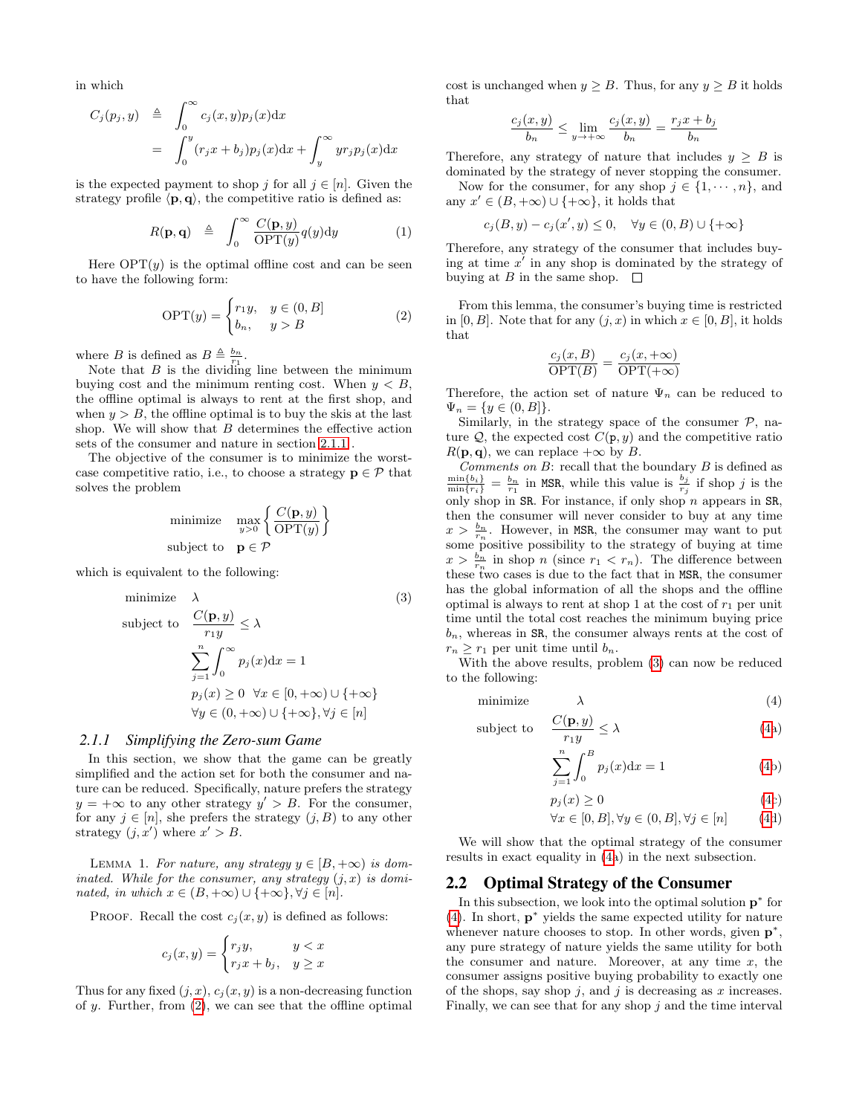in which

$$
C_j(p_j, y) \triangleq \int_0^\infty c_j(x, y) p_j(x) dx
$$
  
= 
$$
\int_0^y (r_j x + b_j) p_j(x) dx + \int_y^\infty y r_j p_j(x) dx
$$

is the expected payment to shop j for all  $j \in [n]$ . Given the strategy profile  $\langle \mathbf{p}, \mathbf{q} \rangle$ , the competitive ratio is defined as:

$$
R(\mathbf{p}, \mathbf{q}) \triangleq \int_0^\infty \frac{C(\mathbf{p}, y)}{\text{OPT}(y)} q(y) \mathrm{d}y \tag{1}
$$

Here  $OPT(y)$  is the optimal offline cost and can be seen to have the following form:

<span id="page-3-2"></span>
$$
\text{OPT}(y) = \begin{cases} r_1 y, & y \in (0, B] \\ b_n, & y > B \end{cases} \tag{2}
$$

where B is defined as  $B \triangleq \frac{b_n}{r_1}$ .

Note that  $B$  is the dividing line between the minimum buying cost and the minimum renting cost. When  $y < B$ , the offline optimal is always to rent at the first shop, and when  $y > B$ , the offline optimal is to buy the skis at the last shop. We will show that  $B$  determines the effective action sets of the consumer and nature in section [2.1.1](#page-3-1) .

The objective of the consumer is to minimize the worstcase competitive ratio, i.e., to choose a strategy  $\mathbf{p} \in \mathcal{P}$  that solves the problem

$$
\begin{array}{ll}\text{minimize} & \max_{y>0} \left\{ \frac{C(\mathbf{p}, y)}{\text{OPT}(y)} \right\} \\ \text{subject to} & \mathbf{p} \in \mathcal{P} \end{array}
$$

which is equivalent to the following:

<span id="page-3-3"></span>minimize 
$$
\lambda
$$
 (3)  
\nsubject to 
$$
\frac{C(\mathbf{p}, y)}{r_1 y} \leq \lambda
$$
\n
$$
\sum_{j=1}^{n} \int_0^\infty p_j(x) dx = 1
$$
\n
$$
p_j(x) \geq 0 \quad \forall x \in [0, +\infty) \cup \{+\infty\}
$$
\n
$$
\forall y \in (0, +\infty) \cup \{+\infty\}, \forall j \in [n]
$$

#### <span id="page-3-1"></span>*2.1.1 Simplifying the Zero-sum Game*

In this section, we show that the game can be greatly simplified and the action set for both the consumer and nature can be reduced. Specifically, nature prefers the strategy  $y = +\infty$  to any other strategy  $y' > B$ . For the consumer, for any  $j \in [n]$ , she prefers the strategy  $(j, B)$  to any other strategy  $(j, x')$  where  $x' > B$ .

<span id="page-3-0"></span>LEMMA 1. For nature, any strategy  $y \in [B, +\infty)$  is dominated. While for the consumer, any strategy  $(j, x)$  is dominated, in which  $x \in (B, +\infty) \cup \{+\infty\}, \forall j \in [n]$ .

PROOF. Recall the cost  $c_i(x, y)$  is defined as follows:

$$
c_j(x, y) = \begin{cases} r_j y, & y < x \\ r_j x + b_j, & y \ge x \end{cases}
$$

Thus for any fixed  $(j, x)$ ,  $c_j(x, y)$  is a non-decreasing function of  $y$ . Further, from  $(2)$ , we can see that the offline optimal cost is unchanged when  $y \geq B$ . Thus, for any  $y \geq B$  it holds that

$$
\frac{c_j(x,y)}{b_n} \le \lim_{y \to +\infty} \frac{c_j(x,y)}{b_n} = \frac{r_j x + b_j}{b_n}
$$

Therefore, any strategy of nature that includes  $y \geq B$  is dominated by the strategy of never stopping the consumer.

Now for the consumer, for any shop  $j \in \{1, \dots, n\}$ , and any  $x' \in (B, +\infty) \cup \{+\infty\}$ , it holds that

$$
c_j(B, y) - c_j(x', y) \le 0, \quad \forall y \in (0, B) \cup \{+\infty\}
$$

Therefore, any strategy of the consumer that includes buying at time  $x'$  in any shop is dominated by the strategy of buying at B in the same shop.  $\square$ 

From this lemma, the consumer's buying time is restricted in [0, B]. Note that for any  $(i, x)$  in which  $x \in [0, B]$ , it holds that

$$
\frac{c_j(x, B)}{\text{OPT}(B)} = \frac{c_j(x, +\infty)}{\text{OPT}(+\infty)}
$$

Therefore, the action set of nature  $\Psi_n$  can be reduced to  $\Psi_n = \{y \in (0, B]\}.$ 

Similarly, in the strategy space of the consumer  $P$ , nature  $Q$ , the expected cost  $C(p, y)$  and the competitive ratio  $R(\mathbf{p}, \mathbf{q})$ , we can replace  $+\infty$  by B.

*Comments on B*: recall that the boundary  $B$  is defined as  $\frac{\min\{b_i\}}{\min\{r_i\}} = \frac{b_n}{r_1}$  in MSR, while this value is  $\frac{b_j}{r_j}$  if shop j is the only shop in SR. For instance, if only shop n appears in SR, then the consumer will never consider to buy at any time  $x > \frac{b_n}{r_n}$ . However, in MSR, the consumer may want to put some positive possibility to the strategy of buying at time  $x > \frac{b_n}{r_n}$  in shop n (since  $r_1 < r_n$ ). The difference between these two cases is due to the fact that in MSR, the consumer has the global information of all the shops and the offline optimal is always to rent at shop 1 at the cost of  $r_1$  per unit time until the total cost reaches the minimum buying price  $b_n$ , whereas in SR, the consumer always rents at the cost of  $r_n \geq r_1$  per unit time until  $b_n$ .

With the above results, problem [\(3\)](#page-3-3) can now be reduced to the following:

$$
minimize \qquad \qquad \lambda \tag{4}
$$

$$
\text{subject to} \quad \frac{C(\mathbf{p}, y)}{r_1 y} \le \lambda \tag{4a}
$$

<span id="page-3-4"></span>
$$
\sum_{j=1}^{n} \int_{0}^{B} p_{j}(x) dx = 1
$$
 (4b)

$$
p_j(x) \ge 0 \tag{4c}
$$

$$
\forall x \in [0, B], \forall y \in (0, B], \forall j \in [n]
$$
 (4d)

We will show that the optimal strategy of the consumer results in exact equality in [\(4a](#page-3-4)) in the next subsection.

#### 2.2 Optimal Strategy of the Consumer

In this subsection, we look into the optimal solution  $p^*$  for [\(4\)](#page-3-4). In short,  $\mathbf{p}^*$  yields the same expected utility for nature whenever nature chooses to stop. In other words, given  $p^*$ , any pure strategy of nature yields the same utility for both the consumer and nature. Moreover, at any time  $x$ , the consumer assigns positive buying probability to exactly one of the shops, say shop  $j$ , and  $j$  is decreasing as  $x$  increases. Finally, we can see that for any shop  $j$  and the time interval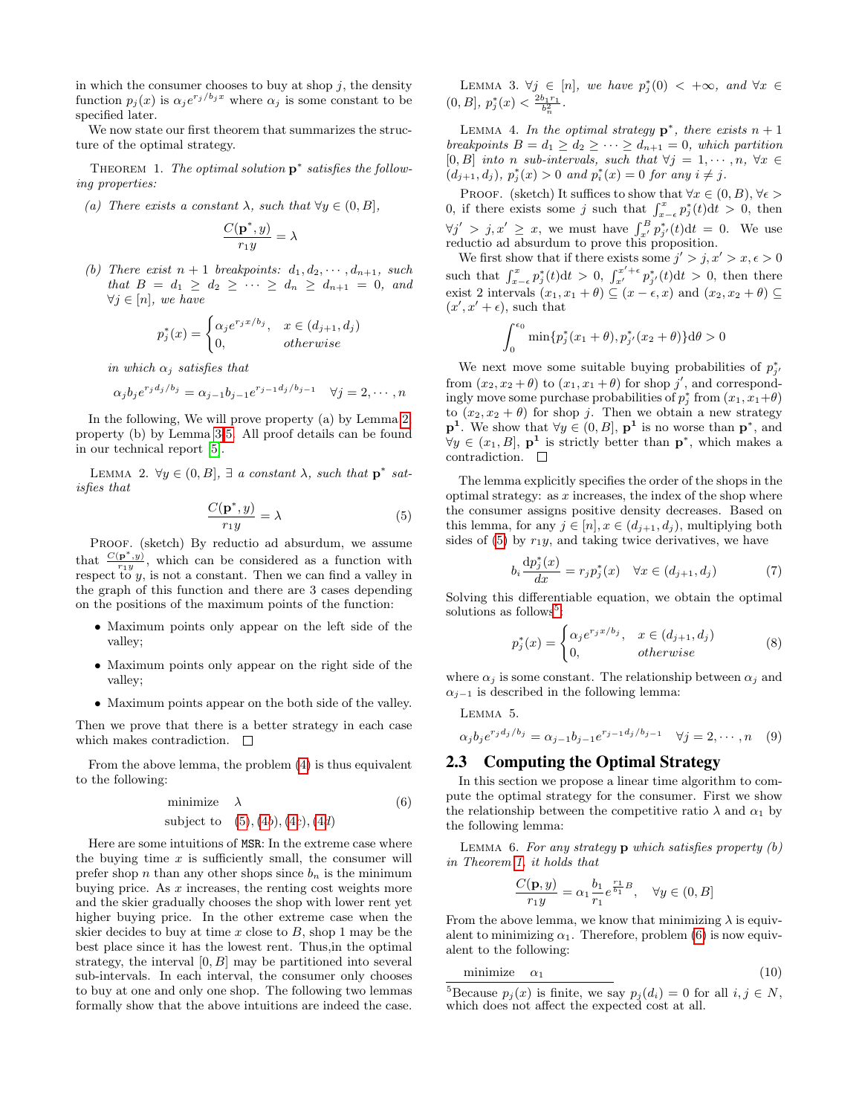in which the consumer chooses to buy at shop  $j$ , the density function  $p_j(x)$  is  $\alpha_j e^{r_j/b_jx}$  where  $\alpha_j$  is some constant to be specified later.

We now state our first theorem that summarizes the structure of the optimal strategy.

<span id="page-4-2"></span>THEOREM 1. The optimal solution  $\mathbf{p}^*$  satisfies the following properties:

(a) There exists a constant  $\lambda$ , such that  $\forall y \in (0, B],$ 

$$
\frac{C(\mathbf{p}^*,y)}{r_1y}=\lambda
$$

(b) There exist  $n + 1$  breakpoints:  $d_1, d_2, \cdots, d_{n+1}$ , such that  $B = d_1 \geq d_2 \geq \cdots \geq d_n \geq d_{n+1} = 0$ , and  $\forall j \in [n]$ , we have

$$
p_j^*(x) = \begin{cases} \alpha_j e^{r_j x/b_j}, & x \in (d_{j+1}, d_j) \\ 0, & otherwise \end{cases}
$$

in which  $\alpha_i$  satisfies that

$$
\alpha_j b_j e^{r_j d_j / b_j} = \alpha_{j-1} b_{j-1} e^{r_{j-1} d_j / b_{j-1}} \quad \forall j = 2, \cdots, n
$$

In the following, We will prove property (a) by Lemma [2,](#page-4-0) property (b) by Lemma [3](#page-4-3)[-5.](#page-4-1) All proof details can be found in our technical report [\[5\]](#page-12-20).

<span id="page-4-0"></span>LEMMA 2.  $\forall y \in (0, B], \exists a constant \lambda, such that p^* sat$ isfies that

<span id="page-4-4"></span>
$$
\frac{C(\mathbf{p}^*, y)}{r_1 y} = \lambda \tag{5}
$$

PROOF. (sketch) By reductio ad absurdum, we assume that  $\frac{C(\mathbf{p}^*,y)}{r_{1}y}$  $\frac{\mathbf{p} \cdot y}{r_1 y}$ , which can be considered as a function with respect to y, is not a constant. Then we can find a valley in the graph of this function and there are 3 cases depending on the positions of the maximum points of the function:

- Maximum points only appear on the left side of the valley;
- Maximum points only appear on the right side of the valley;
- Maximum points appear on the both side of the valley.

Then we prove that there is a better strategy in each case which makes contradiction.  $\Box$ 

From the above lemma, the problem [\(4\)](#page-3-4) is thus equivalent to the following:

<span id="page-4-6"></span>
$$
\begin{array}{ll}\text{minimize} & \lambda\\ \text{subject to} & (5), (4b), (4c), (4d) \end{array} \tag{6}
$$

<span id="page-4-3"></span>Here are some intuitions of MSR: In the extreme case where the buying time  $x$  is sufficiently small, the consumer will prefer shop n than any other shops since  $b_n$  is the minimum buying price. As  $x$  increases, the renting cost weights more and the skier gradually chooses the shop with lower rent yet higher buying price. In the other extreme case when the skier decides to buy at time  $x$  close to  $B$ , shop 1 may be the best place since it has the lowest rent. Thus,in the optimal strategy, the interval  $[0, B]$  may be partitioned into several sub-intervals. In each interval, the consumer only chooses to buy at one and only one shop. The following two lemmas formally show that the above intuitions are indeed the case.

LEMMA 3.  $\forall j \in [n]$ , we have  $p_j^*(0) < +\infty$ , and  $\forall x \in$  $(0, B], p_j^*(x) < \frac{2b_1r_1}{b_n^2}.$ 

LEMMA 4. In the optimal strategy  $\mathbf{p}^*$ , there exists  $n+1$ breakpoints  $B = d_1 \geq d_2 \geq \cdots \geq d_{n+1} = 0$ , which partition  $[0, B]$  into n sub-intervals, such that  $\forall j = 1, \dots, n, \forall x \in$  $(d_{j+1}, d_j), p_j^*(x) > 0$  and  $p_i^*(x) = 0$  for any  $i \neq j$ .

PROOF. (sketch) It suffices to show that  $\forall x \in (0, B)$ ,  $\forall \epsilon$ 0, if there exists some j such that  $\int_{x-\epsilon}^{x} p_j^*(t) dt > 0$ , then  $\forall j' > j, x' \geq x$ , we must have  $\int_{x'}^{B} p_{j'}^{*}(t) dt = 0$ . We use reductio ad absurdum to prove this proposition.

We first show that if there exists some  $j' > j, x' > x, \epsilon > 0$ such that  $\int_{x-\epsilon}^x p_j^*(t) dt > 0$ ,  $\int_{x'}^{x'+\epsilon} p_{j'}^*(t) dt > 0$ , then there exist 2 intervals  $(x_1, x_1 + \theta) \subseteq (x - \epsilon, x)$  and  $(x_2, x_2 + \theta) \subseteq$  $(x', x' + \epsilon)$ , such that

$$
\int_0^{\epsilon_0} \min\{p_j^*(x_1 + \theta), p_{j'}^*(x_2 + \theta)\} d\theta > 0
$$

We next move some suitable buying probabilities of  $p_{j'}^*$ from  $(x_2, x_2 + \theta)$  to  $(x_1, x_1 + \theta)$  for shop j', and correspondingly move some purchase probabilities of  $p_j^*$  from  $(x_1, x_1 + \theta)$ to  $(x_2, x_2 + \theta)$  for shop j. Then we obtain a new strategy  $\mathbf{p}^1$ . We show that  $\forall y \in (0, B], \mathbf{p}^1$  is no worse than  $\mathbf{p}^*$ , and  $\forall y \in (x_1, B], \mathbf{p}^1$  is strictly better than  $\mathbf{p}^*$ , which makes a contradiction.  $\quad \Box$ 

The lemma explicitly specifies the order of the shops in the optimal strategy: as  $x$  increases, the index of the shop where the consumer assigns positive density decreases. Based on this lemma, for any  $j \in [n], x \in (d_{j+1}, d_j)$ , multiplying both sides of [\(5\)](#page-4-4) by  $r_1y$ , and taking twice derivatives, we have

$$
b_i \frac{dp_j^*(x)}{dx} = r_j p_j^*(x) \quad \forall x \in (d_{j+1}, d_j)
$$
 (7)

Solving this differentiable equation, we obtain the optimal solutions as follows<sup>[5](#page-4-5)</sup>:

<span id="page-4-1"></span>
$$
p_j^*(x) = \begin{cases} \alpha_j e^{r_j x/b_j}, & x \in (d_{j+1}, d_j) \\ 0, & otherwise \end{cases}
$$
 (8)

where  $\alpha_i$  is some constant. The relationship between  $\alpha_i$  and  $\alpha_{i-1}$  is described in the following lemma:

Lemma 5.

$$
\alpha_j b_j e^{r_j d_j / b_j} = \alpha_{j-1} b_{j-1} e^{r_{j-1} d_j / b_{j-1}} \quad \forall j = 2, \cdots, n \quad (9)
$$

## <span id="page-4-8"></span>2.3 Computing the Optimal Strategy

In this section we propose a linear time algorithm to compute the optimal strategy for the consumer. First we show the relationship between the competitive ratio  $\lambda$  and  $\alpha_1$  by the following lemma:

LEMMA 6. For any strategy  $p$  which satisfies property  $(b)$ in Theorem [1,](#page-4-2) it holds that

$$
\frac{C(\mathbf{p}, y)}{r_1 y} = \alpha_1 \frac{b_1}{r_1} e^{\frac{r_1}{b_1} B}, \quad \forall y \in (0, B]
$$

From the above lemma, we know that minimizing  $\lambda$  is equivalent to minimizing  $\alpha_1$ . Therefore, problem [\(6\)](#page-4-6) is now equivalent to the following:

<span id="page-4-7"></span>
$$
minimize \quad \alpha_1 \tag{10}
$$

<span id="page-4-5"></span><sup>&</sup>lt;sup>5</sup>Because  $p_i(x)$  is finite, we say  $p_i(d_i) = 0$  for all  $i, j \in N$ , which does not affect the expected cost at all.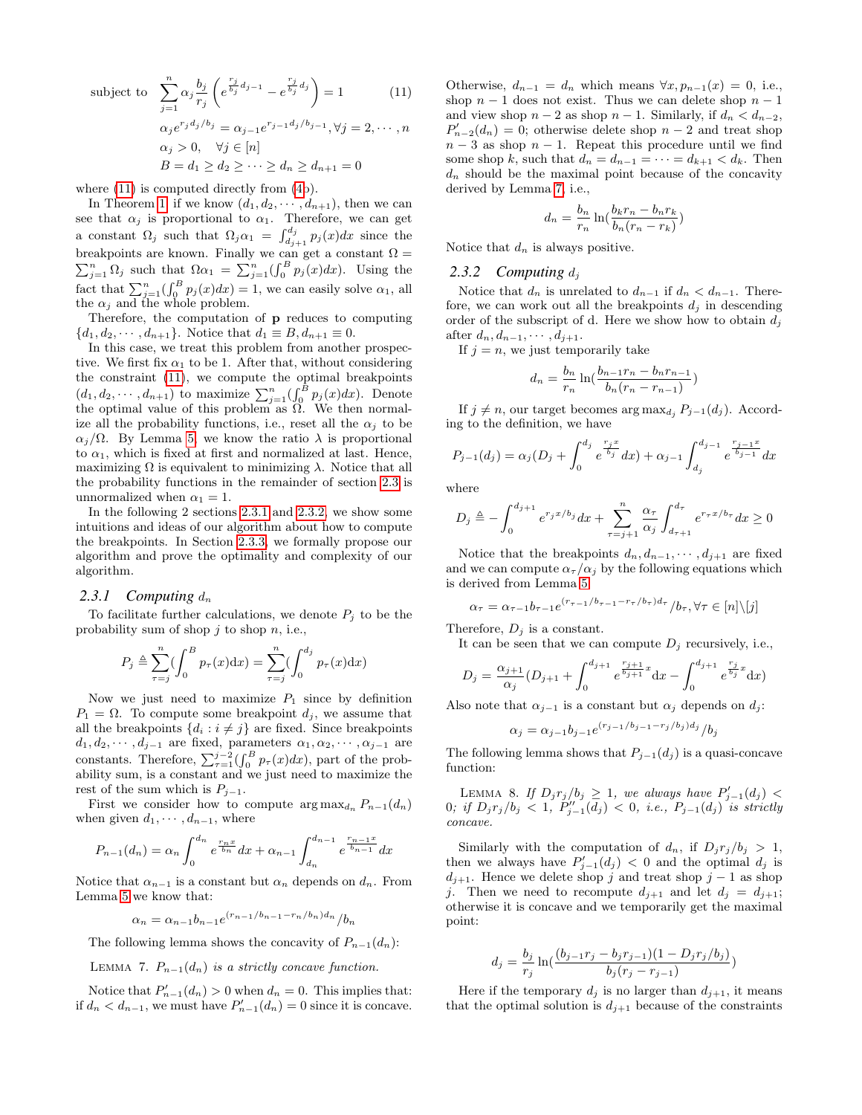subject to  $\sum_{n=1}^{\infty}$  $j=1$  $\alpha_j \frac{b_j}{a}$  $r_j$  $\left(e^{\frac{r_j}{b_j}d_{j-1}} - e^{\frac{r_j}{b_j}d_j}\right) = 1$  (11)  $\alpha_j e^{r_j d_j/b_j} = \alpha_{j-1} e^{r_{j-1} d_j/b_{j-1}}, \forall j = 2, \cdots, n$  $\alpha_j > 0$ ,  $\forall j \in [n]$  $B = d_1 > d_2 > \cdots > d_n > d_{n+1} = 0$ 

where  $(11)$  is computed directly from  $(4b)$  $(4b)$ .

In Theorem [1,](#page-4-2) if we know  $(d_1, d_2, \dots, d_{n+1})$ , then we can see that  $\alpha_j$  is proportional to  $\alpha_1$ . Therefore, we can get a constant  $\Omega_j$  such that  $\Omega_j \alpha_1 = \int_{d_{j+1}}^{d_j} p_j(x) dx$  since the breakpoints are known. Finally we can get a constant  $\Omega =$  $\sum_{j=1}^{n} \Omega_j$  such that  $\Omega \alpha_1 = \sum_{j=1}^{n} (\int_0^B p_j(x) dx)$ . Using the fact that  $\sum_{j=1}^{n} \left( \int_{0}^{B} p_{j}(x) dx \right) = 1$ , we can easily solve  $\alpha_{1}$ , all the  $\alpha_j$  and the whole problem.

Therefore, the computation of p reduces to computing  ${d_1, d_2, \dots, d_{n+1}}$ . Notice that  $d_1 \equiv B, d_{n+1} \equiv 0$ .

In this case, we treat this problem from another prospective. We first fix  $\alpha_1$  to be 1. After that, without considering the constraint [\(11\)](#page-4-7), we compute the optimal breakpoints  $(d_1, d_2, \dots, d_{n+1})$  to maximize  $\sum_{j=1}^{n} (\int_0^B p_j(x) dx)$ . Denote the optimal value of this problem as  $\Omega$ . We then normalize all the probability functions, i.e., reset all the  $\alpha_j$  to be  $\alpha_i/\Omega$ . By Lemma [5,](#page-4-1) we know the ratio  $\lambda$  is proportional to  $\alpha_1$ , which is fixed at first and normalized at last. Hence, maximizing  $\Omega$  is equivalent to minimizing  $\lambda$ . Notice that all the probability functions in the remainder of section [2.3](#page-4-8) is unnormalized when  $\alpha_1 = 1$ .

In the following 2 sections [2.3.1](#page-5-2) and [2.3.2,](#page-5-3) we show some intuitions and ideas of our algorithm about how to compute the breakpoints. In Section [2.3.3,](#page-6-1) we formally propose our algorithm and prove the optimality and complexity of our algorithm.

#### <span id="page-5-2"></span>2.3.1 Computing  $d_n$

To facilitate further calculations, we denote  $P_i$  to be the probability sum of shop  $j$  to shop  $n$ , i.e.,

$$
P_j \triangleq \sum_{\tau=j}^n \left(\int_0^B p_\tau(x) \mathrm{d}x\right) = \sum_{\tau=j}^n \left(\int_0^{d_j} p_\tau(x) \mathrm{d}x\right)
$$

Now we just need to maximize  $P_1$  since by definition  $P_1 = \Omega$ . To compute some breakpoint  $d_j$ , we assume that all the breakpoints  $\{d_i : i \neq j\}$  are fixed. Since breakpoints  $d_1, d_2, \cdots, d_{j-1}$  are fixed, parameters  $\alpha_1, \alpha_2, \cdots, \alpha_{j-1}$  are constants. Therefore,  $\sum_{\tau=1}^{j-2} \left( \int_0^B p_\tau(x) dx \right)$ , part of the probability sum, is a constant and we just need to maximize the rest of the sum which is  $P_{j-1}$ .

First we consider how to compute  $\arg \max_{d_n} P_{n-1}(d_n)$ when given  $d_1, \cdots, d_{n-1}$ , where

$$
P_{n-1}(d_n) = \alpha_n \int_0^{d_n} e^{\frac{r_n x}{b_n}} dx + \alpha_{n-1} \int_{d_n}^{d_{n-1}} e^{\frac{r_{n-1} x}{b_{n-1}}} dx
$$

Notice that  $\alpha_{n-1}$  is a constant but  $\alpha_n$  depends on  $d_n$ . From Lemma [5](#page-4-1) we know that:

$$
\alpha_n = \alpha_{n-1} b_{n-1} e^{(r_{n-1}/b_{n-1} - r_n/b_n) d_n} / b_n
$$

The following lemma shows the concavity of  $P_{n-1}(d_n)$ :

#### LEMMA 7.  $P_{n-1}(d_n)$  is a strictly concave function.

Notice that  $P'_{n-1}(d_n) > 0$  when  $d_n = 0$ . This implies that: if  $d_n < d_{n-1}$ , we must have  $P'_{n-1}(d_n) = 0$  since it is concave.

Otherwise,  $d_{n-1} = d_n$  which means  $\forall x, p_{n-1}(x) = 0$ , i.e., shop  $n-1$  does not exist. Thus we can delete shop  $n-1$ and view shop  $n-2$  as shop  $n-1$ . Similarly, if  $d_n < d_{n-2}$ ,  $P'_{n-2}(d_n) = 0$ ; otherwise delete shop  $n-2$  and treat shop  $n-3$  as shop  $n-1$ . Repeat this procedure until we find some shop k, such that  $d_n = d_{n-1} = \cdots = d_{k+1} < d_k$ . Then  $d_n$  should be the maximal point because of the concavity derived by Lemma [7,](#page-5-0) i.e.,

$$
d_n = \frac{b_n}{r_n} \ln(\frac{b_k r_n - b_n r_k}{b_n (r_n - r_k)})
$$

Notice that  $d_n$  is always positive.

#### <span id="page-5-3"></span>2.3.2 Computing  $d_i$

Notice that  $d_n$  is unrelated to  $d_{n-1}$  if  $d_n < d_{n-1}$ . Therefore, we can work out all the breakpoints  $d_j$  in descending order of the subscript of d. Here we show how to obtain  $d_j$ after  $d_n, d_{n-1}, \cdots, d_{j+1}$ .

If  $j = n$ , we just temporarily take

$$
d_n = \frac{b_n}{r_n} \ln(\frac{b_{n-1}r_n - b_n r_{n-1}}{b_n(r_n - r_{n-1})})
$$

If  $j \neq n$ , our target becomes arg max $_{d_j}$  P<sub>j−1</sub>(d<sub>j</sub>). According to the definition, we have

$$
P_{j-1}(d_j) = \alpha_j (D_j + \int_0^{d_j} e^{\frac{r_j x}{b_j}} dx) + \alpha_{j-1} \int_{d_j}^{d_{j-1}} e^{\frac{r_j - 1 x}{b_{j-1}}} dx
$$

where

$$
D_j \triangleq -\int_0^{d_{j+1}} e^{r_j x/b_j} dx + \sum_{\tau=j+1}^n \frac{\alpha_\tau}{\alpha_j} \int_{d_{\tau+1}}^{d_{\tau}} e^{r_\tau x/b_\tau} dx \ge 0
$$

Notice that the breakpoints  $d_n, d_{n-1}, \cdots, d_{j+1}$  are fixed and we can compute  $\alpha_{\tau}/\alpha_j$  by the following equations which is derived from Lemma [5:](#page-4-1)

$$
\alpha_{\tau} = \alpha_{\tau-1} b_{\tau-1} e^{(r_{\tau-1}/b_{\tau-1} - r_{\tau}/b_{\tau})d_{\tau}}/b_{\tau}, \forall \tau \in [n] \setminus [j]
$$

Therefore,  $D_j$  is a constant.

It can be seen that we can compute  $D_i$  recursively, i.e.,

$$
D_j = \frac{\alpha_{j+1}}{\alpha_j} (D_{j+1} + \int_0^{d_{j+1}} e^{\frac{r_{j+1}}{b_{j+1}}x} dx - \int_0^{d_{j+1}} e^{\frac{r_j}{b_j}x} dx)
$$

Also note that  $\alpha_{j-1}$  is a constant but  $\alpha_j$  depends on  $d_j$ :

$$
\alpha_j = \alpha_{j-1} b_{j-1} e^{(r_{j-1}/b_{j-1} - r_j/b_j) d_j} / b_j
$$

The following lemma shows that  $P_{j-1}(d_j)$  is a quasi-concave function:

<span id="page-5-1"></span>LEMMA 8. If  $D_j r_j/b_j \geq 1$ , we always have  $P'_{j-1}(d_j)$  <  $0;$  if  $D_j r_j/b_j < 1, P''_{j-1}(d_j) < 0,$  i.e.,  $P_{j-1}(d_j)$  is strictly concave.

Similarly with the computation of  $d_n$ , if  $D_j r_j/b_j > 1$ , then we always have  $P'_{j-1}(d_j) < 0$  and the optimal  $d_j$  is  $d_{j+1}$ . Hence we delete shop j and treat shop j – 1 as shop j. Then we need to recompute  $d_{j+1}$  and let  $d_j = d_{j+1}$ ; otherwise it is concave and we temporarily get the maximal point:

$$
d_j = \frac{b_j}{r_j} \ln(\frac{(b_{j-1}r_j - b_jr_{j-1})(1 - D_jr_j/b_j)}{b_j(r_j - r_{j-1})})
$$

<span id="page-5-0"></span>Here if the temporary  $d_j$  is no larger than  $d_{j+1}$ , it means that the optimal solution is  $d_{j+1}$  because of the constraints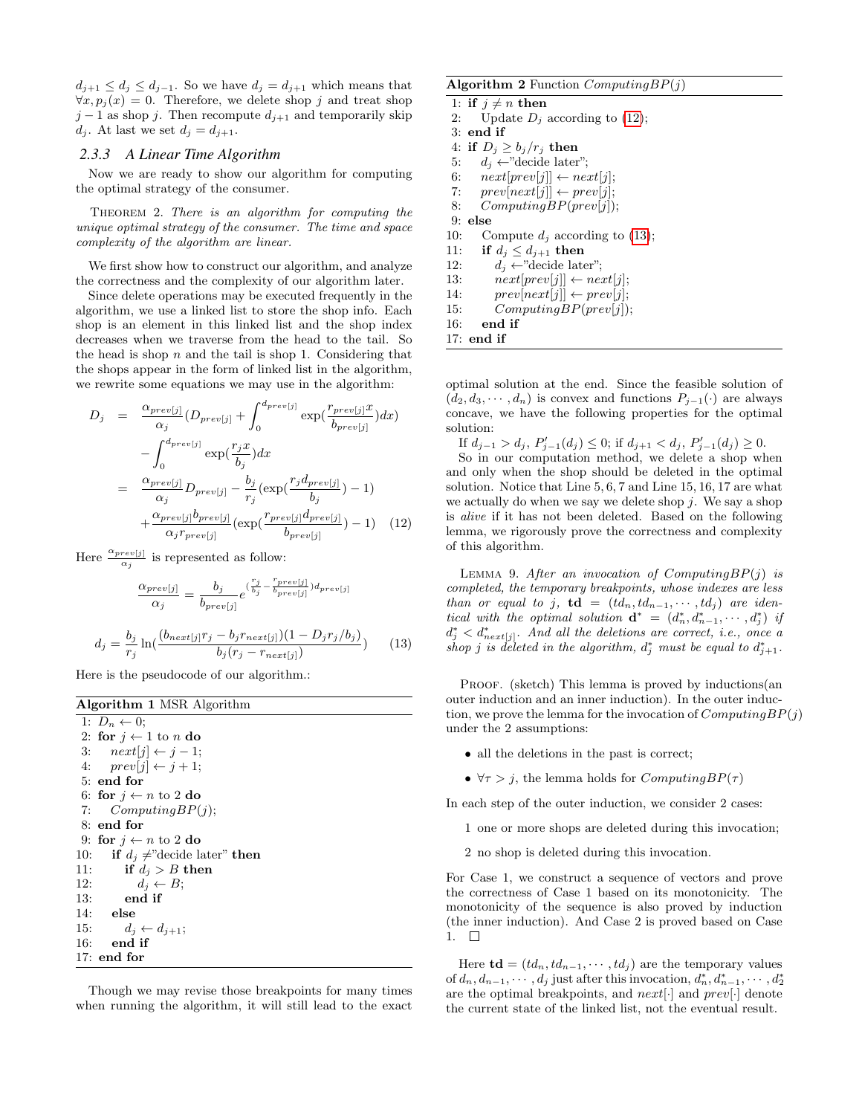$d_{j+1} \leq d_j \leq d_{j-1}$ . So we have  $d_j = d_{j+1}$  which means that  $\forall x, p_i(x) = 0$ . Therefore, we delete shop j and treat shop  $j-1$  as shop j. Then recompute  $d_{j+1}$  and temporarily skip  $d_j$ . At last we set  $d_j = d_{j+1}$ .

#### <span id="page-6-1"></span>*2.3.3 A Linear Time Algorithm*

Now we are ready to show our algorithm for computing the optimal strategy of the consumer.

Theorem 2. There is an algorithm for computing the unique optimal strategy of the consumer. The time and space complexity of the algorithm are linear.

We first show how to construct our algorithm, and analyze the correctness and the complexity of our algorithm later.

Since delete operations may be executed frequently in the algorithm, we use a linked list to store the shop info. Each shop is an element in this linked list and the shop index decreases when we traverse from the head to the tail. So the head is shop  $n$  and the tail is shop 1. Considering that the shops appear in the form of linked list in the algorithm, we rewrite some equations we may use in the algorithm:

<span id="page-6-2"></span>
$$
D_j = \frac{\alpha_{prev[j]}}{\alpha_j} (D_{prev[j]} + \int_0^{d_{prev[j]}} \exp(\frac{r_{prev[j]}x}{b_{prev[j]}}) dx)
$$
  

$$
- \int_0^{d_{prev[j]}} \exp(\frac{r_j x}{b_j}) dx
$$
  

$$
= \frac{\alpha_{prev[j]}}{\alpha_j} D_{prev[j]} - \frac{b_j}{r_j} (\exp(\frac{r_j d_{prev[j]}}{b_j}) - 1)
$$
  

$$
+ \frac{\alpha_{prev[j]}b_{prev[j]}}{\alpha_j r_{prev[j]}} (\exp(\frac{r_{prev[j]}d_{prev[j]}}{b_{prev[j]}}) - 1) \quad (12)
$$

Here  $\frac{\alpha_{prev[j]}}{\alpha_j}$  is represented as follow:

$$
\frac{\alpha_{prev[j]}}{\alpha_j} = \frac{b_j}{b_{prev[j]}} e^{\left(\frac{r_j}{b_j} - \frac{r_{prev[j]}}{b_{prev[j]}}\right) d_{prev[j]}}
$$

$$
d_j = \frac{b_j}{r_j} \ln\left(\frac{(b_{next[j]}r_j - b_jr_{next[j]})(1 - D_jr_j/b_j)}{b_j(r_j - r_{next[j]})}\right) \tag{13}
$$

<span id="page-6-3"></span>Here is the pseudocode of our algorithm.:

<span id="page-6-5"></span>

| <b>Algorithm 1 MSR Algorithm</b> |                                                 |  |
|----------------------------------|-------------------------------------------------|--|
|                                  | 1: $D_n \leftarrow 0$ :                         |  |
|                                  | 2: for $i \leftarrow 1$ to n do                 |  |
| 3:                               | $next[j] \leftarrow j-1;$                       |  |
| 4:                               | $prev[i] \leftarrow i + 1;$                     |  |
|                                  | $5:$ end for                                    |  |
|                                  | 6: for $i \leftarrow n$ to 2 do                 |  |
| 7:                               | Computing BP(i);                                |  |
|                                  | $8:$ end for                                    |  |
|                                  | 9: for $j \leftarrow n$ to 2 do                 |  |
| 10:                              | <b>if</b> $d_i \neq$ "decide later" <b>then</b> |  |
| 11:                              | if $d_i > B$ then                               |  |
| 12:                              | $d_i \leftarrow B$ ;                            |  |
| 13:                              | end if                                          |  |
| 14:                              | else                                            |  |
| 15:                              | $d_i \leftarrow d_{i+1};$                       |  |
| 16:                              | end if                                          |  |
|                                  | $17:$ end for                                   |  |

Though we may revise those breakpoints for many times when running the algorithm, it will still lead to the exact

#### Algorithm 2 Function  $ComputingBP(j)$

- 1: if  $j \neq n$  then 2: Update  $D_i$  according to [\(12\)](#page-6-2); 3: end if 4: if  $D_j \geq b_j/r_j$  then 5:  $d_j \leftarrow$ "decide later"; 6:  $next[prev[j]] \leftarrow next[j];$ 7:  $prev[next[j]] \leftarrow prev[j];$ 8: ComputingBP(prev[j]);
- 
- <span id="page-6-0"></span>9: else 10: Compute  $d_i$  according to [\(13\)](#page-6-3);
- 11: if  $d_j \leq d_{j+1}$  then
- 12:  $d_i \leftarrow$ "decide later";
- 13:  $next[prev[j]] \leftarrow next[j];$
- 14:  $prev[next[j]] \leftarrow prev[j];$
- 15:  $ComputingBP(prev[j]);$
- 16: end if
- 17: end if

optimal solution at the end. Since the feasible solution of  $(d_2, d_3, \dots, d_n)$  is convex and functions  $P_{j-1}(\cdot)$  are always concave, we have the following properties for the optimal solution:

If  $d_{j-1} > d_j$ ,  $P'_{j-1}(d_j) \leq 0$ ; if  $d_{j+1} < d_j$ ,  $P'_{j-1}(d_j) \geq 0$ . So in our computation method, we delete a shop when and only when the shop should be deleted in the optimal solution. Notice that Line 5, 6, 7 and Line 15, 16, 17 are what we actually do when we say we delete shop  $j$ . We say a shop is alive if it has not been deleted. Based on the following lemma, we rigorously prove the correctness and complexity of this algorithm.

<span id="page-6-4"></span>LEMMA 9. After an invocation of Computing $BP(j)$  is completed, the temporary breakpoints, whose indexes are less than or equal to j,  $\mathbf{td} = (td_n, td_{n-1}, \cdots, td_j)$  are identical with the optimal solution  $\mathbf{d}^* = (d_n^*, d_{n-1}^*, \cdots, d_j^*)$  if  $d_j^* < d_{next[j]}^*$ . And all the deletions are correct, i.e., once a shop j is deleted in the algorithm,  $d_j^*$  must be equal to  $d_{j+1}^*$ .

PROOF. (sketch) This lemma is proved by inductions (an outer induction and an inner induction). In the outer induction, we prove the lemma for the invocation of  $ComputingBP(j)$ under the 2 assumptions:

- all the deletions in the past is correct;
- $\forall \tau > j$ , the lemma holds for  $Computing BP(\tau)$

In each step of the outer induction, we consider 2 cases:

1 one or more shops are deleted during this invocation;

2 no shop is deleted during this invocation.

For Case 1, we construct a sequence of vectors and prove the correctness of Case 1 based on its monotonicity. The monotonicity of the sequence is also proved by induction (the inner induction). And Case 2 is proved based on Case  $1. \square$ 

Here  $\mathbf{td} = (td_n, td_{n-1}, \cdots, td_i)$  are the temporary values of  $d_n, d_{n-1}, \cdots, d_j$  just after this invocation,  $d_n^*, d_{n-1}^*, \cdots, d_2^*$ are the optimal breakpoints, and  $next[\cdot]$  and  $prev[\cdot]$  denote the current state of the linked list, not the eventual result.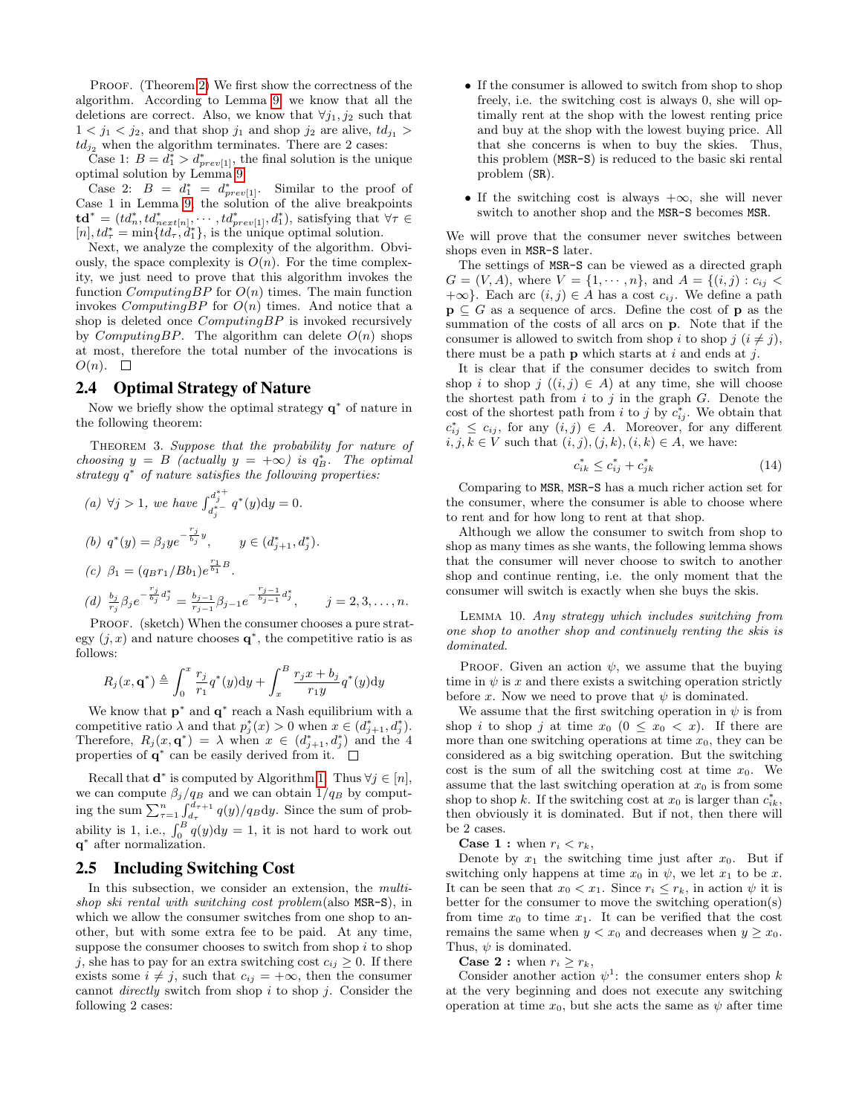PROOF. (Theorem [2\)](#page-6-0) We first show the correctness of the algorithm. According to Lemma [9,](#page-6-4) we know that all the deletions are correct. Also, we know that  $\forall j_1, j_2$  such that  $1 < j_1 < j_2$ , and that shop  $j_1$  and shop  $j_2$  are alive,  $td_{j_1} >$  $td_{j_2}$  when the algorithm terminates. There are 2 cases:

Case 1:  $B = d_1^* > d_{prev[1]}^*$ , the final solution is the unique optimal solution by Lemma [9.](#page-6-4)

Case 2:  $B = d_1^* = d_{prev[1]}^*$ . Similar to the proof of Case 1 in Lemma [9,](#page-6-4) the solution of the alive breakpoints  $\mathbf{td}^* = (td_n^*, td_{next[n]}^*, \cdots, td_{prev[1]}^*, d_1^*)$ , satisfying that  $\forall \tau \in$  $[n], td^* = \min\{td^-_r, d^*_1\}$ , is the unique optimal solution.

Next, we analyze the complexity of the algorithm. Obviously, the space complexity is  $O(n)$ . For the time complexity, we just need to prove that this algorithm invokes the function *ComputingBP* for  $O(n)$  times. The main function invokes *ComputingBP* for  $O(n)$  times. And notice that a shop is deleted once  $ComputingBP$  is invoked recursively by *ComputingBP*. The algorithm can delete  $O(n)$  shops at most, therefore the total number of the invocations is  $O(n). \square$ 

### 2.4 Optimal Strategy of Nature

Now we briefly show the optimal strategy  $q^*$  of nature in the following theorem:

THEOREM 3. Suppose that the probability for nature of choosing  $y = B$  (actually  $y = +\infty$ ) is  $q_B^*$ . The optimal strategy  $q^*$  of nature satisfies the following properties:

(a) 
$$
\forall j > 1
$$
, we have  $\int_{d_j^{*+}}^{d_j^{*+}} q^*(y) dy = 0$ .  
\n(b)  $q^*(y) = \beta_j y e^{-\frac{r_j}{b_j}y}$ ,  $y \in (d_{j+1}^*, d_j^*)$ .  
\n(c)  $\beta_1 = (q_{B}r_1/Bb_1)e^{\frac{r_1}{b_1}B}$ .  
\n(d)  $\frac{b_j}{r_j}\beta_j e^{-\frac{r_j}{b_j}d_j^*} = \frac{b_{j-1}}{r_{j-1}}\beta_{j-1}e^{-\frac{r_j-1}{b_{j-1}}d_j^*}$ ,  $j = 2, 3, ..., n$ .

PROOF. (sketch) When the consumer chooses a pure strategy  $(j, x)$  and nature chooses  $\mathbf{q}^*$ , the competitive ratio is as follows:

$$
R_j(x, \mathbf{q}^*) \triangleq \int_0^x \frac{r_j}{r_1} q^*(y) dy + \int_x^B \frac{r_j x + b_j}{r_1 y} q^*(y) dy
$$

We know that  $p^*$  and  $q^*$  reach a Nash equilibrium with a competitive ratio  $\lambda$  and that  $p_j^*(x) > 0$  when  $x \in (d_{j+1}^*, d_j^*)$ . Therefore,  $R_j(x, \mathbf{q}^*) = \lambda$  when  $x \in (d_{j+1}^*, d_j^*)$  and the 4 properties of  $q^*$  can be easily derived from it.

Recall that  $\mathbf{d}^*$  is computed by Algorithm [1.](#page-6-5) Thus  $\forall j \in [n]$ , we can compute  $\beta_j/q_B$  and we can obtain  $1/q_B$  by computing the sum  $\sum_{\tau=1}^n \int_{d_{\tau}}^{d_{\tau+1}} q(y)/q_B dy$ . Since the sum of probability is 1, i.e.,  $\int_0^B q(y) dy = 1$ , it is not hard to work out q ∗ after normalization.

### 2.5 Including Switching Cost

In this subsection, we consider an extension, the multishop ski rental with switching cost problem(also MSR-S), in which we allow the consumer switches from one shop to another, but with some extra fee to be paid. At any time, suppose the consumer chooses to switch from shop  $i$  to shop j, she has to pay for an extra switching cost  $c_{ij} \geq 0$ . If there exists some  $i \neq j$ , such that  $c_{ij} = +\infty$ , then the consumer cannot *directly* switch from shop  $i$  to shop  $j$ . Consider the following 2 cases:

- If the consumer is allowed to switch from shop to shop freely, i.e. the switching cost is always 0, she will optimally rent at the shop with the lowest renting price and buy at the shop with the lowest buying price. All that she concerns is when to buy the skies. Thus, this problem (MSR-S) is reduced to the basic ski rental problem (SR).
- If the switching cost is always  $+\infty$ , she will never switch to another shop and the MSR-S becomes MSR.

We will prove that the consumer never switches between shops even in MSR-S later.

The settings of MSR-S can be viewed as a directed graph  $G = (V, A)$ , where  $V = \{1, \dots, n\}$ , and  $A = \{(i, j) : c_{ij}$  $+\infty$ . Each arc  $(i, j) \in A$  has a cost  $c_{ij}$ . We define a path  $\mathbf{p} \subseteq G$  as a sequence of arcs. Define the cost of  $\mathbf{p}$  as the summation of the costs of all arcs on p. Note that if the consumer is allowed to switch from shop i to shop j  $(i \neq j)$ , there must be a path **p** which starts at i and ends at j.

It is clear that if the consumer decides to switch from shop i to shop j  $((i, j) \in A)$  at any time, she will choose the shortest path from  $i$  to  $j$  in the graph  $G$ . Denote the cost of the shortest path from i to j by  $c_{ij}^*$ . We obtain that  $c_{ij}^* \leq c_{ij}$ , for any  $(i, j) \in A$ . Moreover, for any different  $i, j, k \in V$  such that  $(i, j), (j, k), (i, k) \in A$ , we have:

$$
c_{ik}^* \le c_{ij}^* + c_{jk}^* \tag{14}
$$

Comparing to MSR, MSR-S has a much richer action set for the consumer, where the consumer is able to choose where to rent and for how long to rent at that shop.

Although we allow the consumer to switch from shop to shop as many times as she wants, the following lemma shows that the consumer will never choose to switch to another shop and continue renting, i.e. the only moment that the consumer will switch is exactly when she buys the skis.

Lemma 10. Any strategy which includes switching from one shop to another shop and continuely renting the skis is dominated.

PROOF. Given an action  $\psi$ , we assume that the buying time in  $\psi$  is x and there exists a switching operation strictly before x. Now we need to prove that  $\psi$  is dominated.

We assume that the first switching operation in  $\psi$  is from shop i to shop j at time  $x_0$   $(0 \le x_0 < x)$ . If there are more than one switching operations at time  $x_0$ , they can be considered as a big switching operation. But the switching cost is the sum of all the switching cost at time  $x_0$ . We assume that the last switching operation at  $x_0$  is from some shop to shop k. If the switching cost at  $x_0$  is larger than  $c_{ik}^*$ , then obviously it is dominated. But if not, then there will be 2 cases.

**Case 1 :** when  $r_i < r_k$ ,

Denote by  $x_1$  the switching time just after  $x_0$ . But if switching only happens at time  $x_0$  in  $\psi$ , we let  $x_1$  to be x. It can be seen that  $x_0 < x_1$ . Since  $r_i \leq r_k$ , in action  $\psi$  it is better for the consumer to move the switching operation(s) from time  $x_0$  to time  $x_1$ . It can be verified that the cost remains the same when  $y < x_0$  and decreases when  $y \ge x_0$ . Thus,  $\psi$  is dominated.

**Case 2**: when  $r_i \geq r_k$ ,

Consider another action  $\psi^1$ : the consumer enters shop k at the very beginning and does not execute any switching operation at time  $x_0$ , but she acts the same as  $\psi$  after time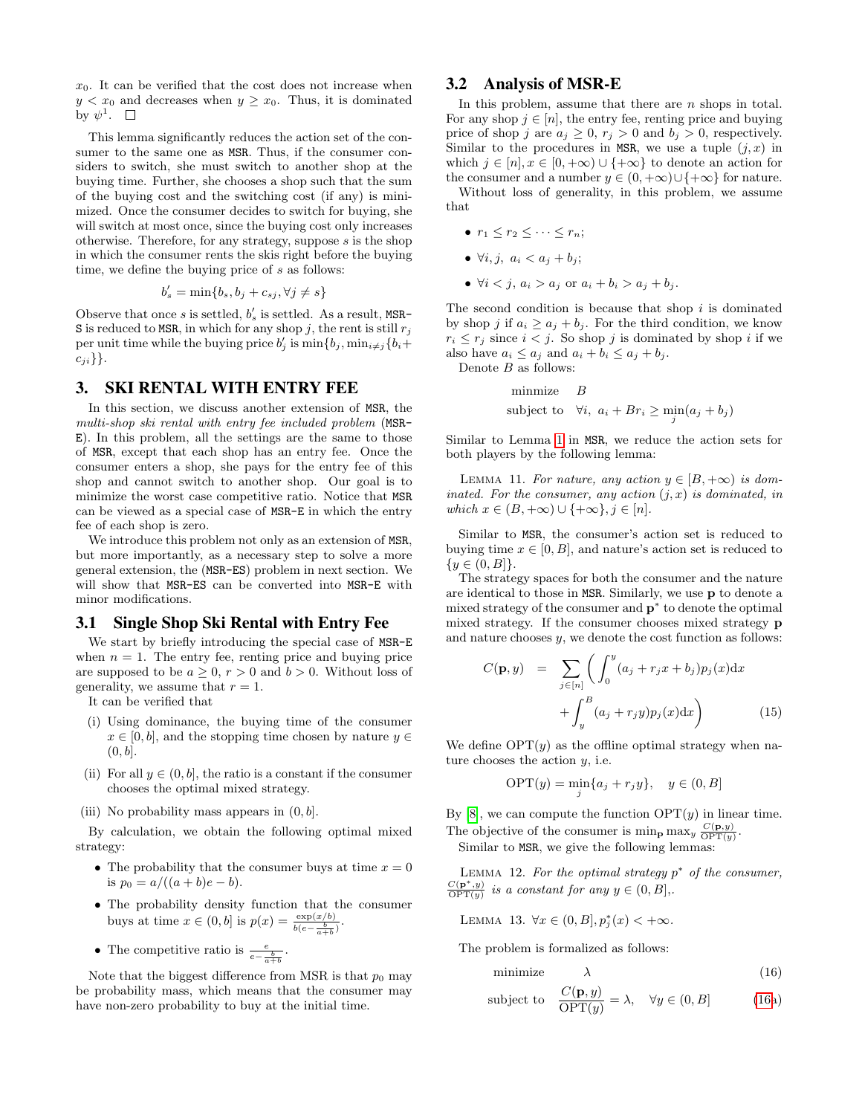$x_0$ . It can be verified that the cost does not increase when  $y < x_0$  and decreases when  $y \ge x_0$ . Thus, it is dominated by  $\psi^1$ .

This lemma significantly reduces the action set of the consumer to the same one as MSR. Thus, if the consumer considers to switch, she must switch to another shop at the buying time. Further, she chooses a shop such that the sum of the buying cost and the switching cost (if any) is minimized. Once the consumer decides to switch for buying, she will switch at most once, since the buying cost only increases otherwise. Therefore, for any strategy, suppose  $s$  is the shop in which the consumer rents the skis right before the buying time, we define the buying price of s as follows:

$$
b'_{s} = \min\{b_{s}, b_{j} + c_{sj}, \forall j \neq s\}
$$

Observe that once s is settled,  $b'_{s}$  is settled. As a result, MSR-S is reduced to MSR, in which for any shop j, the rent is still  $r_j$ per unit time while the buying price  $b'_j$  is  $\min\{b_j, \min_{i \neq j} \{b_i + \}$  $c_{ii}\}$ .

## 3. SKI RENTAL WITH ENTRY FEE

In this section, we discuss another extension of MSR, the multi-shop ski rental with entry fee included problem (MSR-E). In this problem, all the settings are the same to those of MSR, except that each shop has an entry fee. Once the consumer enters a shop, she pays for the entry fee of this shop and cannot switch to another shop. Our goal is to minimize the worst case competitive ratio. Notice that MSR can be viewed as a special case of MSR-E in which the entry fee of each shop is zero.

We introduce this problem not only as an extension of MSR, but more importantly, as a necessary step to solve a more general extension, the (MSR-ES) problem in next section. We will show that MSR-ES can be converted into MSR-E with minor modifications.

#### 3.1 Single Shop Ski Rental with Entry Fee

We start by briefly introducing the special case of MSR-E when  $n = 1$ . The entry fee, renting price and buying price are supposed to be  $a \geq 0$ ,  $r > 0$  and  $b > 0$ . Without loss of generality, we assume that  $r = 1$ .

It can be verified that

- (i) Using dominance, the buying time of the consumer  $x \in [0, b]$ , and the stopping time chosen by nature  $y \in$  $(0, b]$ .
- (ii) For all  $y \in (0, b]$ , the ratio is a constant if the consumer chooses the optimal mixed strategy.
- (iii) No probability mass appears in  $(0, b]$ .

By calculation, we obtain the following optimal mixed strategy:

- The probability that the consumer buys at time  $x = 0$ is  $p_0 = a/((a + b)e - b)$ .
- The probability density function that the consumer buys at time  $x \in (0, b]$  is  $p(x) = \frac{\exp(x/b)}{b(e - \frac{b}{a+b})}$ .
- The competitive ratio is  $\frac{e}{e \frac{b}{a+b}}$ .

Note that the biggest difference from MSR is that  $p_0$  may be probability mass, which means that the consumer may have non-zero probability to buy at the initial time.

# 3.2 Analysis of MSR-E

In this problem, assume that there are  $n$  shops in total. For any shop  $j \in [n]$ , the entry fee, renting price and buying price of shop j are  $a_j \geq 0$ ,  $r_j > 0$  and  $b_j > 0$ , respectively. Similar to the procedures in MSR, we use a tuple  $(j, x)$  in which  $j \in [n], x \in [0, +\infty) \cup \{+\infty\}$  to denote an action for the consumer and a number  $y \in (0, +\infty) \cup \{+\infty\}$  for nature.

Without loss of generality, in this problem, we assume that

- $r_1 \leq r_2 \leq \cdots \leq r_n;$
- $\forall i, j, a_i < a_j + b_j;$
- $\forall i < j, a_i > a_j \text{ or } a_i + b_i > a_j + b_j.$

The second condition is because that shop  $i$  is dominated by shop j if  $a_i \ge a_j + b_j$ . For the third condition, we know  $r_i \leq r_j$  since  $i < j$ . So shop j is dominated by shop i if we also have  $a_i \leq a_j$  and  $a_i + b_i \leq a_j + b_j$ .

Denote  $B$  as follows:

minimize 
$$
B
$$
  
subject to  $\forall i, a_i + Br_i \geq \min_j(a_j + b_j)$ 

Similar to Lemma [1](#page-3-0) in MSR, we reduce the action sets for both players by the following lemma:

LEMMA 11. For nature, any action  $y \in [B, +\infty)$  is dominated. For the consumer, any action  $(j, x)$  is dominated, in which  $x \in (B, +\infty) \cup \{+\infty\}, j \in [n].$ 

Similar to MSR, the consumer's action set is reduced to buying time  $x \in [0, B]$ , and nature's action set is reduced to  $\{y \in (0, B]\}.$ 

The strategy spaces for both the consumer and the nature are identical to those in MSR. Similarly, we use p to denote a mixed strategy of the consumer and  $\mathbf{p}^*$  to denote the optimal mixed strategy. If the consumer chooses mixed strategy p and nature chooses  $y$ , we denote the cost function as follows:

$$
C(\mathbf{p}, y) = \sum_{j \in [n]} \left( \int_0^y (a_j + r_j x + b_j) p_j(x) dx + \int_y^B (a_j + r_j y) p_j(x) dx \right)
$$
(15)

We define  $OPT(y)$  as the offline optimal strategy when nature chooses the action  $y$ , i.e.

$$
\text{OPT}(y) = \min_{j} \{a_j + r_j y\}, \quad y \in (0, B]
$$

By  $[8]$ , we can compute the function  $\text{OPT}(y)$  in linear time. The objective of the consumer is  $\min_{\mathbf{p}} \max_y \frac{C(\mathbf{p},y)}{\text{OPT}(y)}$ .

Similar to MSR, we give the following lemmas:

LEMMA 12. For the optimal strategy  $p^*$  of the consumer,  $\frac{C(\mathbf{p}^*,y)}{\text{OPT}(y)}$  is a constant for any  $y \in (0, B]$ ,

<span id="page-8-1"></span>LEMMA 13.  $\forall x \in (0, B], p_j^*(x) < +\infty$ .

The problem is formalized as follows:

<span id="page-8-0"></span>
$$
minimize \qquad \lambda \tag{16}
$$

subject to 
$$
\frac{C(\mathbf{p}, y)}{\text{OPT}(y)} = \lambda, \quad \forall y \in (0, B]
$$
 (16a)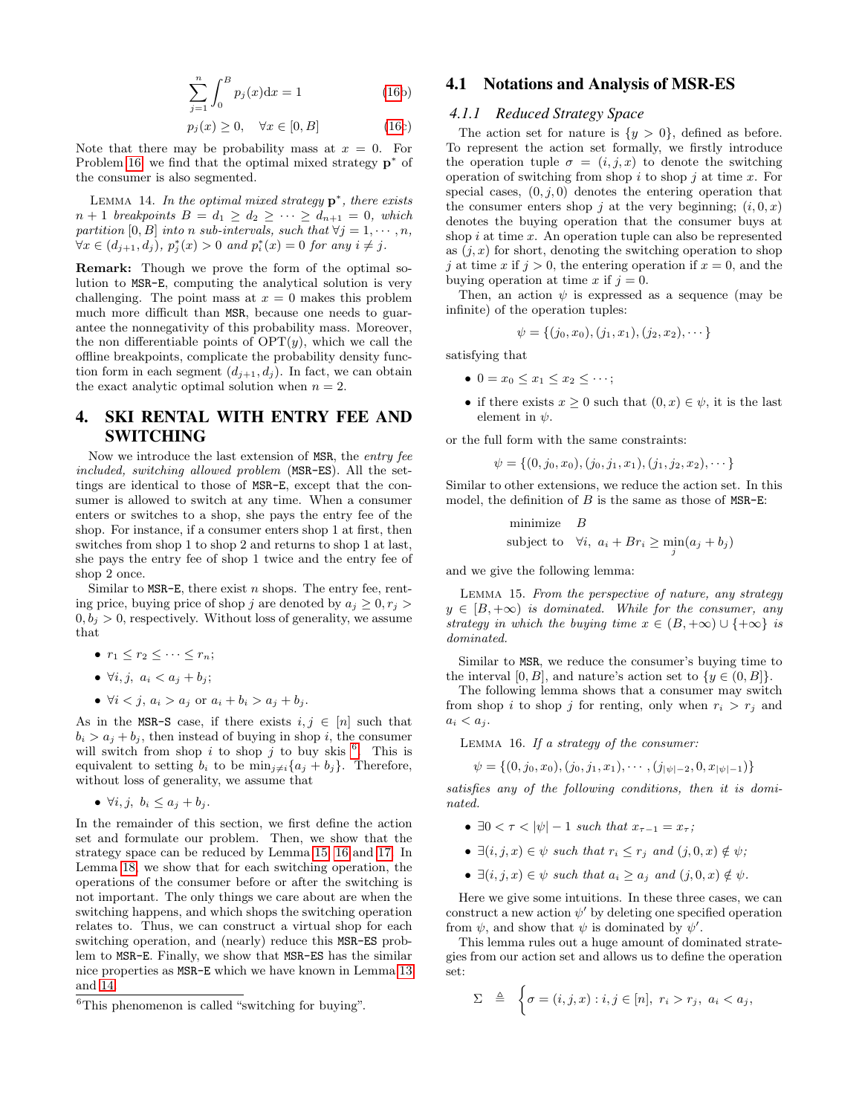$$
\sum_{j=1}^{n} \int_{0}^{B} p_{j}(x)dx = 1
$$
 (16b)

$$
p_j(x) \ge 0, \quad \forall x \in [0, B] \tag{16c}
$$

Note that there may be probability mass at  $x = 0$ . For Problem [16,](#page-8-0) we find that the optimal mixed strategy  $\mathbf{p}^*$  of the consumer is also segmented.

<span id="page-9-3"></span>LEMMA 14. In the optimal mixed strategy  $p^*$ , there exists  $n + 1$  breakpoints  $B = d_1 \geq d_2 \geq \cdots \geq d_{n+1} = 0$ , which partition [0, B] into n sub-intervals, such that  $\forall j = 1, \dots, n$ ,  $\forall x \in (d_{j+1}, d_j), p_j^*(x) > 0 \text{ and } p_i^*(x) = 0 \text{ for any } i \neq j.$ 

Remark: Though we prove the form of the optimal solution to MSR-E, computing the analytical solution is very challenging. The point mass at  $x = 0$  makes this problem much more difficult than MSR, because one needs to guarantee the nonnegativity of this probability mass. Moreover, the non differentiable points of  $\text{OPT}(y)$ , which we call the offline breakpoints, complicate the probability density function form in each segment  $(d_{j+1}, d_j)$ . In fact, we can obtain the exact analytic optimal solution when  $n = 2$ .

# 4. SKI RENTAL WITH ENTRY FEE AND SWITCHING

Now we introduce the last extension of MSR, the entry fee included, switching allowed problem (MSR-ES). All the settings are identical to those of MSR-E, except that the consumer is allowed to switch at any time. When a consumer enters or switches to a shop, she pays the entry fee of the shop. For instance, if a consumer enters shop 1 at first, then switches from shop 1 to shop 2 and returns to shop 1 at last, she pays the entry fee of shop 1 twice and the entry fee of shop 2 once.

Similar to  $MSR-E$ , there exist n shops. The entry fee, renting price, buying price of shop j are denoted by  $a_j \geq 0, r_j >$  $0, b<sub>i</sub> > 0$ , respectively. Without loss of generality, we assume that

•  $r_1 \leq r_2 \leq \cdots \leq r_n;$ 

• 
$$
\forall i, j, \ a_i < a_j + b_j;
$$

•  $\forall i \leq j, a_i > a_j \text{ or } a_i + b_i > a_j + b_j.$ 

As in the MSR-S case, if there exists  $i, j \in [n]$  such that  $b_i > a_j + b_j$ , then instead of buying in shop *i*, the consumer will switch from shop i to shop j to buy skis  $^6$  $^6$ . This is equivalent to setting  $b_i$  to be  $\min_{j\neq i}{a_j + b_j}$ . Therefore, without loss of generality, we assume that

•  $\forall i, j, b_i \leq a_i + b_i$ .

In the remainder of this section, we first define the action set and formulate our problem. Then, we show that the strategy space can be reduced by Lemma [15,](#page-9-1) [16](#page-9-2) and [17.](#page-10-0) In Lemma [18,](#page-10-1) we show that for each switching operation, the operations of the consumer before or after the switching is not important. The only things we care about are when the switching happens, and which shops the switching operation relates to. Thus, we can construct a virtual shop for each switching operation, and (nearly) reduce this MSR-ES problem to MSR-E. Finally, we show that MSR-ES has the similar nice properties as MSR-E which we have known in Lemma [13](#page-8-1) and [14.](#page-9-3)

## 4.1 Notations and Analysis of MSR-ES

#### *4.1.1 Reduced Strategy Space*

The action set for nature is  $\{y > 0\}$ , defined as before. To represent the action set formally, we firstly introduce the operation tuple  $\sigma = (i, j, x)$  to denote the switching operation of switching from shop  $i$  to shop  $j$  at time  $x$ . For special cases,  $(0, j, 0)$  denotes the entering operation that the consumer enters shop j at the very beginning;  $(i, 0, x)$ denotes the buying operation that the consumer buys at shop  $i$  at time  $x$ . An operation tuple can also be represented as  $(j, x)$  for short, denoting the switching operation to shop j at time x if  $j > 0$ , the entering operation if  $x = 0$ , and the buying operation at time x if  $j = 0$ .

Then, an action  $\psi$  is expressed as a sequence (may be infinite) of the operation tuples:

$$
\psi = \{(j_0, x_0), (j_1, x_1), (j_2, x_2), \cdots\}
$$

satisfying that

- $0 = x_0 \le x_1 \le x_2 \le \cdots;$
- if there exists  $x \geq 0$  such that  $(0, x) \in \psi$ , it is the last element in  $\psi$ .

or the full form with the same constraints:

 $\psi = \{(0, j_0, x_0), (j_0, j_1, x_1), (j_1, j_2, x_2), \cdots\}$ 

Similar to other extensions, we reduce the action set. In this model, the definition of  $B$  is the same as those of MSR-E:

<span id="page-9-1"></span>minimize 
$$
B
$$
  
subject to  $\forall i, a_i + Br_i \ge \min_j (a_j + b_j)$ 

and we give the following lemma:

Lemma 15. From the perspective of nature, any strategy  $y \in [B, +\infty)$  is dominated. While for the consumer, any strategy in which the buying time  $x \in (B, +\infty) \cup \{+\infty\}$  is dominated.

Similar to MSR, we reduce the consumer's buying time to the interval [0, B], and nature's action set to  $\{y \in (0, B]\}.$ 

The following lemma shows that a consumer may switch from shop i to shop j for renting, only when  $r_i > r_j$  and  $a_i < a_j$ .

<span id="page-9-2"></span>Lemma 16. If a strategy of the consumer:

$$
\psi = \{(0, j_0, x_0), (j_0, j_1, x_1), \cdots, (j_{|\psi|-2}, 0, x_{|\psi|-1})\}
$$

satisfies any of the following conditions, then it is dominated.

- $\exists 0 < \tau < |\psi| 1$  such that  $x_{\tau-1} = x_{\tau}$ ;
- $\exists (i, j, x) \in \psi$  such that  $r_i \leq r_j$  and  $(j, 0, x) \notin \psi$ ;
- $\exists (i, j, x) \in \psi$  such that  $a_i \geq a_j$  and  $(j, 0, x) \notin \psi$ .

Here we give some intuitions. In these three cases, we can construct a new action  $\psi'$  by deleting one specified operation from  $\psi$ , and show that  $\psi$  is dominated by  $\psi'$ .

This lemma rules out a huge amount of dominated strategies from our action set and allows us to define the operation set:

$$
\Sigma \triangleq \begin{cases} \sigma = (i, j, x) : i, j \in [n], r_i > r_j, a_i < a_j, \end{cases}
$$

<span id="page-9-0"></span><sup>6</sup>This phenomenon is called "switching for buying".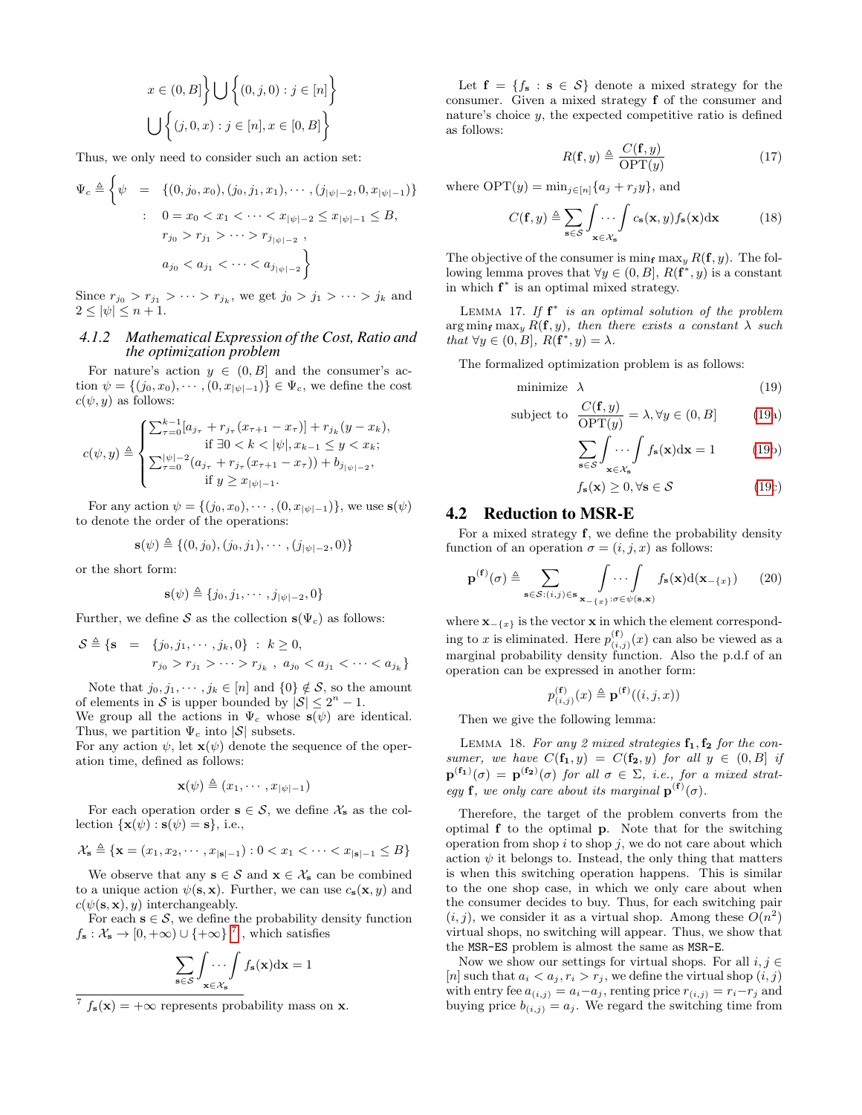$$
x \in (0, B] \Big\} \bigcup \Big\{ (0, j, 0) : j \in [n] \Big\}
$$
  

$$
\bigcup \Big\{ (j, 0, x) : j \in [n], x \in [0, B] \Big\}
$$

Thus, we only need to consider such an action set:

$$
\Psi_c \triangleq \begin{cases}\n\psi = \left\{ (0, j_0, x_0), (j_0, j_1, x_1), \cdots, (j_{|\psi|-2}, 0, x_{|\psi|-1}) \right\} \\
\vdots \quad 0 = x_0 < x_1 < \cdots < x_{|\psi|-2} \le x_{|\psi|-1} \le B, \\
r_{j_0} > r_{j_1} > \cdots > r_{j_{|\psi|-2}}, \\
a_{j_0} < a_{j_1} < \cdots < a_{j_{|\psi|-2}}\n\end{cases}
$$

Since  $r_{j_0} > r_{j_1} > \cdots > r_{j_k}$ , we get  $j_0 > j_1 > \cdots > j_k$  and  $2 \leq |\psi| \leq n+1$ .

#### *4.1.2 Mathematical Expression of the Cost, Ratio and the optimization problem*

For nature's action  $y \in (0, B]$  and the consumer's action  $\psi = \{(j_0, x_0), \cdots, (0, x_{|\psi|-1})\} \in \Psi_c$ , we define the cost  $c(\psi, y)$  as follows:

$$
c(\psi, y) \triangleq \begin{cases} \sum_{\tau=0}^{k-1} [a_{j_{\tau}} + r_{j_{\tau}}(x_{\tau+1} - x_{\tau})] + r_{j_{k}}(y - x_{k}), \\ \text{if } \exists 0 < k < |\psi|, x_{k-1} \le y < x_{k}; \\ \sum_{\tau=0}^{|\psi|-2} (a_{j_{\tau}} + r_{j_{\tau}}(x_{\tau+1} - x_{\tau})) + b_{j_{|\psi|-2}}, \\ \text{if } y \ge x_{|\psi|-1}. \end{cases}
$$

For any action  $\psi = \{(j_0, x_0), \cdots, (0, x_{|\psi|-1})\}$ , we use  $s(\psi)$ to denote the order of the operations:

$$
\mathbf{s}(\psi) \triangleq \{(0, j_0), (j_0, j_1), \cdots, (j_{|\psi|-2}, 0)\}
$$

or the short form:

$$
\mathbf{s}(\psi) \triangleq \{j_0, j_1, \cdots, j_{|\psi|-2}, 0\}
$$

Further, we define S as the collection  $s(\Psi_c)$  as follows:

$$
S \triangleq \{s = \{j_0, j_1, \cdots, j_k, 0\} : k \ge 0, \nr_{j_0} > r_{j_1} > \cdots > r_{j_k}, \ a_{j_0} < a_{j_1} < \cdots < a_{j_k}\}\
$$

Note that  $j_0, j_1, \dots, j_k \in [n]$  and  $\{0\} \notin S$ , so the amount of elements in S is upper bounded by  $|S| \leq 2^n - 1$ .

We group all the actions in  $\Psi_c$  whose  $s(\psi)$  are identical. Thus, we partition  $\Psi_c$  into  $|\mathcal{S}|$  subsets.

For any action  $\psi$ , let  $\mathbf{x}(\psi)$  denote the sequence of the operation time, defined as follows:

$$
\mathbf{x}(\psi) \triangleq (x_1, \cdots, x_{|\psi|-1})
$$

For each operation order  $s \in S$ , we define  $\mathcal{X}_s$  as the collection  $\{x(\psi) : s(\psi) = s\}$ , i.e.,

$$
\mathcal{X}_\mathbf{s} \triangleq \{\mathbf{x} = (x_1, x_2, \cdots, x_{|\mathbf{s}|-1}) : 0 < x_1 < \cdots < x_{|\mathbf{s}|-1} \leq B\}
$$

We observe that any  $s \in S$  and  $x \in \mathcal{X}_s$  can be combined to a unique action  $\psi(\mathbf{s}, \mathbf{x})$ . Further, we can use  $c_{\mathbf{s}}(\mathbf{x}, y)$  and  $c(\psi(\mathbf{s}, \mathbf{x}), y)$  interchangeably.

For each  $s \in \mathcal{S}$ , we define the probability density function  $f_{\mathbf{s}}: \mathcal{X}_{\mathbf{s}} \to [0, +\infty) \cup \{+\infty\}^7$  $f_{\mathbf{s}}: \mathcal{X}_{\mathbf{s}} \to [0, +\infty) \cup \{+\infty\}^7$ , which satisfies

$$
\sum_{\mathbf{s}\in\mathcal{S}}\int_{\mathbf{x}\in\mathcal{X}_{\mathbf{s}}}\cdots\int f_{\mathbf{s}}(\mathbf{x})\mathrm{d}\mathbf{x}=1
$$

Let  $f = \{f_s : s \in S\}$  denote a mixed strategy for the consumer. Given a mixed strategy f of the consumer and nature's choice  $y$ , the expected competitive ratio is defined as follows:

<span id="page-10-0"></span>
$$
R(\mathbf{f}, y) \triangleq \frac{C(\mathbf{f}, y)}{\text{OPT}(y)}\tag{17}
$$

where  $\text{OPT}(y) = \min_{j \in [n]} \{a_j + r_j y\}$ , and

$$
C(\mathbf{f}, y) \triangleq \sum_{\mathbf{s} \in \mathcal{S}} \int_{\mathbf{x} \in \mathcal{X}_{\mathbf{s}}} \cdots \int c_{\mathbf{s}}(\mathbf{x}, y) f_{\mathbf{s}}(\mathbf{x}) d\mathbf{x}
$$
 (18)

The objective of the consumer is min<sub>f</sub> max<sub>y</sub>  $R(f, y)$ . The following lemma proves that  $\forall y \in (0, B], R(\mathbf{f}^*, y)$  is a constant in which f ∗ is an optimal mixed strategy.

LEMMA 17. If  $f^*$  is an optimal solution of the problem  $\arg \min_{\mathbf{f}} \max_{y} R(\mathbf{f}, y)$ , then there exists a constant  $\lambda$  such that  $\forall y \in (0, B], R(\mathbf{f}^*, y) = \lambda.$ 

The formalized optimization problem is as follows:

$$
\text{minimize} \quad \lambda \tag{19}
$$

subject to 
$$
\frac{C(\mathbf{f}, y)}{\text{OPT}(y)} = \lambda, \forall y \in (0, B]
$$
 (19a)

<span id="page-10-3"></span>
$$
\sum_{\mathbf{s}\in\mathcal{S}} \int \dots \int f_{\mathbf{s}}(\mathbf{x}) d\mathbf{x} = 1 \tag{19b}
$$

$$
f_{\mathbf{s}}(\mathbf{x}) \ge 0, \forall \mathbf{s} \in \mathcal{S}
$$
 (19c)

# 4.2 Reduction to MSR-E

For a mixed strategy  $f$ , we define the probability density function of an operation  $\sigma = (i, j, x)$  as follows:

$$
\mathbf{p}^{(\mathbf{f})}(\sigma) \triangleq \sum_{\mathbf{s} \in \mathcal{S}: (i,j) \in \mathbf{s}} \int \cdots \int \int_{\mathbf{s}(\mathbf{x})} f_{\mathbf{s}}(\mathbf{x}) d(\mathbf{x}_{-\{x\}}) \qquad (20)
$$

where  $\mathbf{x}_{-\{x\}}$  is the vector **x** in which the element corresponding to x is eliminated. Here  $p_{(i,j)}^{(\mathbf{f})}(x)$  can also be viewed as a marginal probability density function. Also the p.d.f of an operation can be expressed in another form:

<span id="page-10-1"></span>
$$
p_{(i,j)}^{(\mathbf{f})}(x) \triangleq \mathbf{p}^{(\mathbf{f})}((i,j,x))
$$

Then we give the following lemma:

LEMMA 18. For any 2 mixed strategies  $f_1, f_2$  for the consumer, we have  $C(\mathbf{f}_1, y) = C(\mathbf{f}_2, y)$  for all  $y \in (0, B]$  if  $\mathbf{p}^{(\mathbf{f}_1)}(\sigma) = \mathbf{p}^{(\mathbf{f}_2)}(\sigma)$  for all  $\sigma \in \Sigma$ , i.e., for a mixed strategy **f**, we only care about its marginal  $\mathbf{p}^{(\mathbf{f})}(\sigma)$ .

Therefore, the target of the problem converts from the optimal f to the optimal p. Note that for the switching operation from shop  $i$  to shop  $j$ , we do not care about which action  $\psi$  it belongs to. Instead, the only thing that matters is when this switching operation happens. This is similar to the one shop case, in which we only care about when the consumer decides to buy. Thus, for each switching pair  $(i, j)$ , we consider it as a virtual shop. Among these  $\overline{O(n^2)}$ virtual shops, no switching will appear. Thus, we show that the MSR-ES problem is almost the same as MSR-E.

Now we show our settings for virtual shops. For all  $i, j \in$ [n] such that  $a_i < a_j, r_i > r_j$ , we define the virtual shop  $(i, j)$ with entry fee  $a_{(i,j)} = a_i - a_j$ , renting price  $r_{(i,j)} = r_i - r_j$  and buying price  $b_{(i,j)} = a_j$ . We regard the switching time from

<span id="page-10-2"></span> $f_s(\mathbf{x}) = +\infty$  represents probability mass on **x**.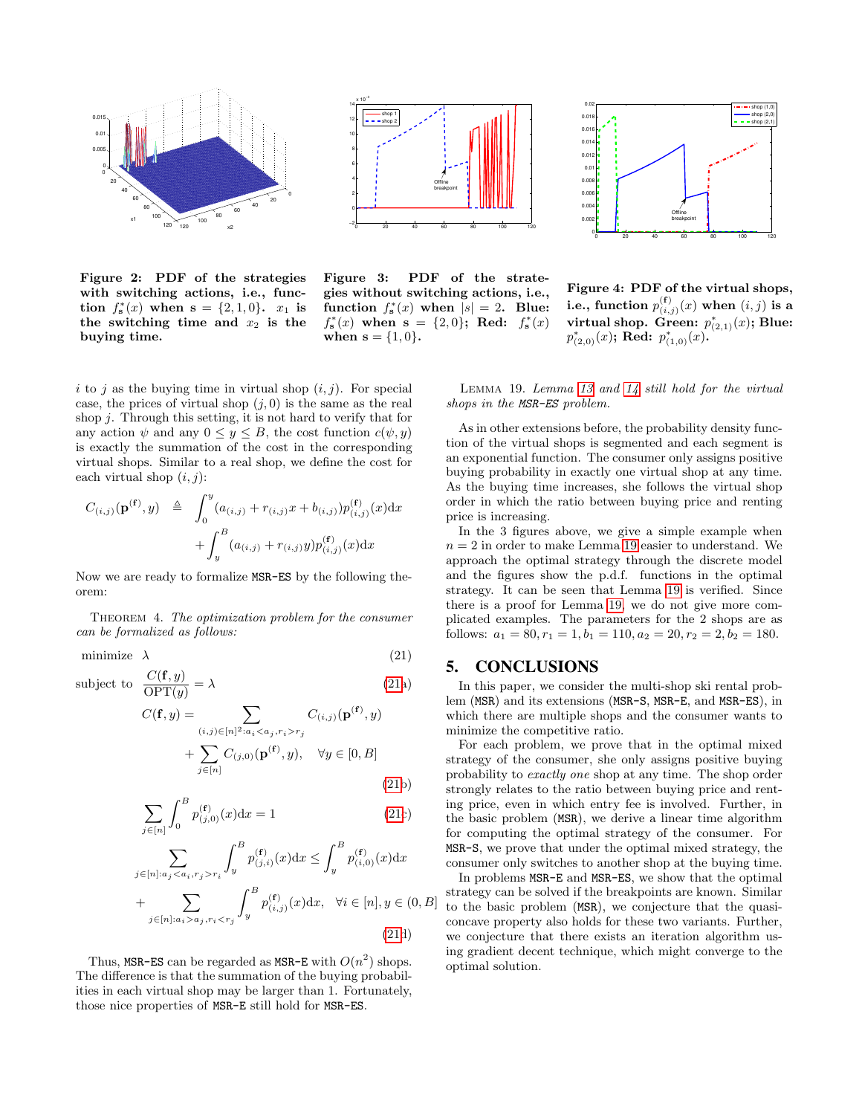

Figure 2: PDF of the strategies with switching actions, i.e., function  $f_{s}^{*}(x)$  when  $s = \{2, 1, 0\}$ .  $x_1$  is the switching time and  $x_2$  is the buying time.



Figure 3: PDF of the strategies without switching actions, i.e., function  $f_{s}^{*}(x)$  when  $|s|=2$ . Blue:  $f_{s}^{*}(x)$  when  $s = \{2,0\};$  Red:  $f_{s}^{*}(x)$ when  $s = \{1, 0\}.$ 

<span id="page-11-0"></span> $(21a)$  $(21a)$ 



Figure 4: PDF of the virtual shops, i.e., function  $p_{(i,j)}^{(\mathbf{f})}(x)$  when  $(i,j)$  is a virtual shop. Green:  $p_{(2,1)}^*(x)$ ; Blue:  $p_{(2,0)}^*(x)$ ; Red:  $p_{(1,0)}^*(x)$ .

i to j as the buying time in virtual shop  $(i, j)$ . For special case, the prices of virtual shop  $(j, 0)$  is the same as the real shop j. Through this setting, it is not hard to verify that for any action  $\psi$  and any  $0 \le y \le B$ , the cost function  $c(\psi, y)$ is exactly the summation of the cost in the corresponding virtual shops. Similar to a real shop, we define the cost for each virtual shop  $(i, j)$ :

$$
C_{(i,j)}(\mathbf{p}^{(\mathbf{f})},y) \triangleq \int_0^y (a_{(i,j)} + r_{(i,j)}x + b_{(i,j)}) p_{(i,j)}^{(\mathbf{f})}(x) dx + \int_y^B (a_{(i,j)} + r_{(i,j)}y) p_{(i,j)}^{(\mathbf{f})}(x) dx
$$

Now we are ready to formalize MSR-ES by the following theorem:

THEOREM 4. The optimization problem for the consumer can be formalized as follows:

minimize  $\lambda$  (21)

subject to  $\frac{C(\mathbf{f}, y)}{\text{OPT}(y)}$ 

$$
C(\mathbf{f}, y) = \sum_{(i,j) \in [n]^2 : a_i < a_j, r_i > r_j} C_{(i,j)}(\mathbf{p}^{(\mathbf{f})}, y) + \sum_{j \in [n]} C_{(j,0)}(\mathbf{p}^{(\mathbf{f})}, y), \quad \forall y \in [0, B] \tag{21b}
$$

$$
\sum_{j \in [n]} \int_0^B p_{(j,0)}^{(\mathbf{f})}(x) \mathrm{d}x = 1 \tag{21c}
$$

$$
\sum_{j \in [n]: a_j < a_i, r_j > r_i} \int_y^B p_{(j,i)}^{(\mathbf{f})}(x) dx \le \int_y^B p_{(i,0)}^{(\mathbf{f})}(x) dx
$$
\n
$$
+ \sum_{j \in [n]: a_i > a_j, r_i < r_j} \int_y^B p_{(i,j)}^{(\mathbf{f})}(x) dx, \quad \forall i \in [n], y \in (0, B]
$$
\n(21d)

Thus, MSR-ES can be regarded as MSR-E with  $O(n^2)$  shops. The difference is that the summation of the buying probabilities in each virtual shop may be larger than 1. Fortunately, those nice properties of MSR-E still hold for MSR-ES.

Lemma 19. Lemma [13](#page-8-1) and [14](#page-9-3) still hold for the virtual shops in the MSR-ES problem.

As in other extensions before, the probability density function of the virtual shops is segmented and each segment is an exponential function. The consumer only assigns positive buying probability in exactly one virtual shop at any time. As the buying time increases, she follows the virtual shop order in which the ratio between buying price and renting price is increasing.

In the 3 figures above, we give a simple example when  $n = 2$  in order to make Lemma [19](#page-11-1) easier to understand. We approach the optimal strategy through the discrete model and the figures show the p.d.f. functions in the optimal strategy. It can be seen that Lemma [19](#page-11-1) is verified. Since there is a proof for Lemma [19,](#page-11-1) we do not give more complicated examples. The parameters for the 2 shops are as follows:  $a_1 = 80, r_1 = 1, b_1 = 110, a_2 = 20, r_2 = 2, b_2 = 180.$ 

# 5. CONCLUSIONS

In this paper, we consider the multi-shop ski rental problem (MSR) and its extensions (MSR-S, MSR-E, and MSR-ES), in which there are multiple shops and the consumer wants to minimize the competitive ratio.

For each problem, we prove that in the optimal mixed strategy of the consumer, she only assigns positive buying probability to exactly one shop at any time. The shop order strongly relates to the ratio between buying price and renting price, even in which entry fee is involved. Further, in the basic problem (MSR), we derive a linear time algorithm for computing the optimal strategy of the consumer. For MSR-S, we prove that under the optimal mixed strategy, the consumer only switches to another shop at the buying time.

<span id="page-11-1"></span>In problems MSR-E and MSR-ES, we show that the optimal strategy can be solved if the breakpoints are known. Similar to the basic problem (MSR), we conjecture that the quasiconcave property also holds for these two variants. Further, we conjecture that there exists an iteration algorithm using gradient decent technique, which might converge to the optimal solution.